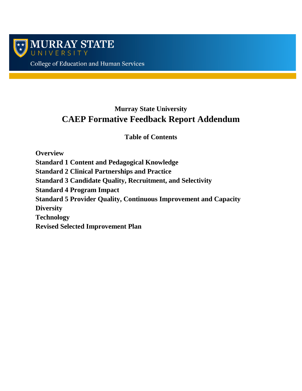

# **Murray State University CAEP Formative Feedback Report Addendum**

**Table of Contents**

**Overview Standard 1 Content and Pedagogical Knowledge Standard 2 Clinical Partnerships and Practice Standard 3 Candidate Quality, Recruitment, and Selectivity Standard 4 Program Impact Standard 5 Provider Quality, Continuous Improvement and Capacity Diversity Technology Revised Selected Improvement Plan**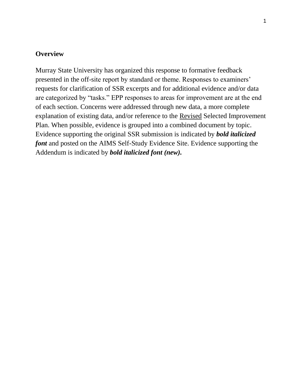### **Overview**

Murray State University has organized this response to formative feedback presented in the off-site report by standard or theme. Responses to examiners' requests for clarification of SSR excerpts and for additional evidence and/or data are categorized by "tasks." EPP responses to areas for improvement are at the end of each section. Concerns were addressed through new data, a more complete explanation of existing data, and/or reference to the Revised Selected Improvement Plan. When possible, evidence is grouped into a combined document by topic. Evidence supporting the original SSR submission is indicated by *bold italicized font* and posted on the AIMS Self-Study Evidence Site. Evidence supporting the Addendum is indicated by *bold italicized font (new).*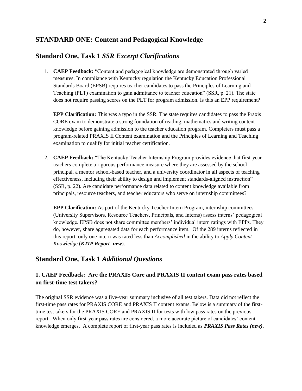### **STANDARD ONE: Content and Pedagogical Knowledge**

### **Standard One, Task 1** *SSR Excerpt Clarifications*

1. **CAEP Feedback:** "Content and pedagogical knowledge are demonstrated through varied measures. In compliance with Kentucky regulation the Kentucky Education Professional Standards Board (EPSB) requires teacher candidates to pass the Principles of Learning and Teaching (PLT) examination to gain admittance to teacher education" (SSR, p. 21). The state does not require passing scores on the PLT for program admission. Is this an EPP requirement?

**EPP Clarification:** This was a typo in the SSR. The state requires candidates to pass the Praxis CORE exam to demonstrate a strong foundation of reading, mathematics and writing content knowledge before gaining admission to the teacher education program. Completers must pass a program-related PRAXIS II Content examination and the Principles of Learning and Teaching examination to qualify for initial teacher certification.

2. **CAEP Feedback:** "The Kentucky Teacher Internship Program provides evidence that first-year teachers complete a rigorous performance measure where they are assessed by the school principal, a mentor school-based teacher, and a university coordinator in all aspects of teaching effectiveness, including their ability to design and implement standards-aligned instruction" (SSR, p. 22). Are candidate performance data related to content knowledge available from principals, resource teachers, and teacher educators who serve on internship committees?

**EPP Clarification:** As part of the Kentucky Teacher Intern Program, internship committees (University Supervisors, Resource Teachers, Principals, and Interns) assess interns' pedagogical knowledge. EPSB does not share committee members' individual intern ratings with EPPs. They do, however, share aggregated data for each performance item. Of the 289 interns reflected in this report, only one intern was rated less than *Accomplished* in the ability to *Apply Content Knowledge* (*KTIP Report- new*).

### **Standard One, Task 1** *Additional Questions*

### **1. CAEP Feedback: Are the PRAXIS Core and PRAXIS II content exam pass rates based on first-time test takers?**

The original SSR evidence was a five-year summary inclusive of all test takers. Data did not reflect the first-time pass rates for PRAXIS CORE and PRAXIS II content exams. Below is a summary of the firsttime test takers for the PRAXIS CORE and PRAXIS II for tests with low pass rates on the previous report. When only first-year pass rates are considered, a more accurate picture of candidates' content knowledge emerges. A complete report of first-year pass rates is included as *PRAXIS Pass Rates (new)*.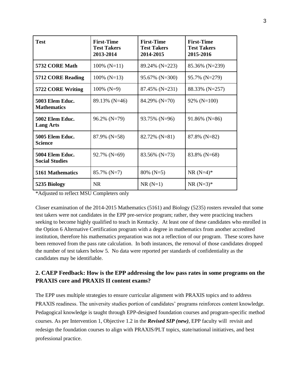| <b>Test</b>                              | <b>First-Time</b><br><b>Test Takers</b><br>2013-2014 | <b>First-Time</b><br><b>Test Takers</b><br>2014-2015 | <b>First-Time</b><br><b>Test Takers</b><br>2015-2016 |
|------------------------------------------|------------------------------------------------------|------------------------------------------------------|------------------------------------------------------|
| 5732 CORE Math                           | $100\%$ (N=11)                                       | 89.24% (N=223)                                       | 85.36% (N=239)                                       |
| 5712 CORE Reading                        | $100\%$ (N=13)                                       | 95.67% (N=300)                                       | 95.7% (N=279)                                        |
| 5722 CORE Writing                        | $100\%$ (N=9)                                        | 87.45% (N=231)                                       | 88.33% (N=257)                                       |
| 5003 Elem Educ.<br><b>Mathematics</b>    | 89.13% (N=46)                                        | 84.29% (N=70)                                        | $92\%$ (N=100)                                       |
| 5002 Elem Educ.<br><b>Lang Arts</b>      | 96.2% (N=79)                                         | 93.75% (N=96)                                        | $91.86\%$ (N=86)                                     |
| 5005 Elem Educ.<br><b>Science</b>        | $87.9\%$ (N=58)                                      | 82.72% (N=81)                                        | $87.8\%$ (N=82)                                      |
| 5004 Elem Educ.<br><b>Social Studies</b> | 92.7% (N=69)                                         | 83.56% (N=73)                                        | 83.8% (N=68)                                         |
| <b>5161 Mathematics</b>                  | $85.7\%$ (N=7)                                       | $80\%$ (N=5)                                         | $NR (N=4)*$                                          |
| 5235 Biology                             | <b>NR</b>                                            | $NR(N=1)$                                            | $NR (N=3)*$                                          |

\*Adjusted to reflect MSU Completers only

Closer examination of the 2014-2015 Mathematics (5161) and Biology (5235) rosters revealed that some test takers were not candidates in the EPP pre-service program; rather, they were practicing teachers seeking to become highly qualified to teach in Kentucky. At least one of these candidates who enrolled in the Option 6 Alternative Certification program with a degree in mathematics from another accredited institution, therefore his mathematics preparation was not a reflection of our program. These scores have been removed from the pass rate calculation. In both instances, the removal of those candidates dropped the number of test takers below 5. No data were reported per standards of confidentiality as the candidates may be identifiable.

### **2. CAEP Feedback: How is the EPP addressing the low pass rates in some programs on the PRAXIS core and PRAXIS II content exams?**

The EPP uses multiple strategies to ensure curricular alignment with PRAXIS topics and to address PRAXIS readiness. The university studies portion of candidates' programs reinforces content knowledge. Pedagogical knowledge is taught through EPP-designed foundation courses and program-specific method courses. As per Intervention 1, Objective 1.2 in the *Revised SIP (new)*, EPP faculty will revisit and redesign the foundation courses to align with PRAXIS/PLT topics, state/national initiatives, and best professional practice.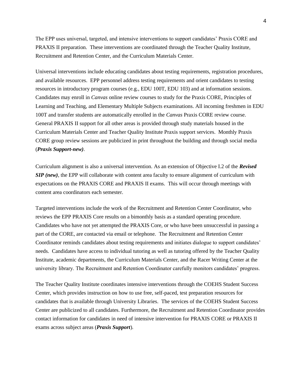The EPP uses universal, targeted, and intensive interventions to support candidates' Praxis CORE and PRAXIS II preparation. These interventions are coordinated through the Teacher Quality Institute, Recruitment and Retention Center, and the Curriculum Materials Center.

Universal interventions include educating candidates about testing requirements, registration procedures, and available resources. EPP personnel address testing requirements and orient candidates to testing resources in introductory program courses (e.g., EDU 100T, EDU 103) and at information sessions. Candidates may enroll in *Canvas* online review courses to study for the Praxis CORE, Principles of Learning and Teaching, and Elementary Multiple Subjects examinations. All incoming freshmen in EDU 100T and transfer students are automatically enrolled in the *Canvas* Praxis CORE review course. General PRAXIS II support for all other areas is provided through study materials housed in the Curriculum Materials Center and Teacher Quality Institute Praxis support services. Monthly Praxis CORE group review sessions are publicized in print throughout the building and through social media (*Praxis Support-new)*.

Curriculum alignment is also a universal intervention. As an extension of Objective I.2 of the *Revised SIP (new)*, the EPP will collaborate with content area faculty to ensure alignment of curriculum with expectations on the PRAXIS CORE and PRAXIS II exams. This will occur through meetings with content area coordinators each semester.

Targeted interventions include the work of the Recruitment and Retention Center Coordinator, who reviews the EPP PRAXIS Core results on a bimonthly basis as a standard operating procedure. Candidates who have not yet attempted the PRAXIS Core, or who have been unsuccessful in passing a part of the CORE, are contacted via email or telephone. The Recruitment and Retention Center Coordinator reminds candidates about testing requirements and initiates dialogue to support candidates' needs. Candidates have access to individual tutoring as well as tutoring offered by the Teacher Quality Institute, academic departments, the Curriculum Materials Center, and the Racer Writing Center at the university library. The Recruitment and Retention Coordinator carefully monitors candidates' progress.

The Teacher Quality Institute coordinates intensive interventions through the COEHS Student Success Center, which provides instruction on how to use free, self-paced, test preparation resources for candidates that is available through University Libraries. The services of the COEHS Student Success Center are publicized to all candidates. Furthermore, the Recruitment and Retention Coordinator provides contact information for candidates in need of intensive intervention for PRAXIS CORE or PRAXIS II exams across subject areas (*Praxis Support*).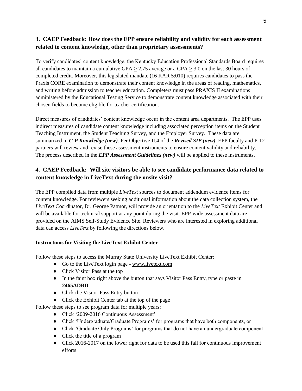### **3. CAEP Feedback: How does the EPP ensure reliability and validity for each assessment related to content knowledge, other than proprietary assessments?**

To verify candidates' content knowledge, the Kentucky Education Professional Standards Board requires all candidates to maintain a cumulative GPA  $>$  2.75 average or a GPA  $>$  3.0 on the last 30 hours of completed credit. Moreover, this legislated mandate (16 KAR 5:010) requires candidates to pass the Praxis CORE examination to demonstrate their content knowledge in the areas of reading, mathematics, and writing before admission to teacher education. Completers must pass PRAXIS II examinations administered by the Educational Testing Service to demonstrate content knowledge associated with their chosen fields to become eligible for teacher certification.

Direct measures of candidates' content knowledge occur in the content area departments. The EPP uses indirect measures of candidate content knowledge including associated perception items on the Student Teaching Instrument, the Student Teaching Survey, and the Employer Survey. These data are summarized in *C-P Knowledge (new)*. Per Objective II.4 of the *Revised SIP (new)*, EPP faculty and P-12 partners will review and revise these assessment instruments to ensure content validity and reliability. The process described in the *EPP Assessment Guidelines (new)* will be applied to these instruments.

### **4. CAEP Feedback: Will site visitors be able to see candidate performance data related to content knowledge in LiveText during the onsite visit?**

The EPP compiled data from multiple *LiveText* sources to document addendum evidence items for content knowledge. For reviewers seeking additional information about the data collection system, the *LiveText* Coordinator, Dr. George Patmor, will provide an orientation to the *LiveText* Exhibit Center and will be available for technical support at any point during the visit. EPP-wide assessment data are provided on the AIMS Self-Study Evidence Site. Reviewers who are interested in exploring additional data can access *LiveText* by following the directions below.

#### **Instructions for Visiting the LiveText Exhibit Center**

Follow these steps to access the Murray State University LiveText Exhibit Center:

- Go to the LiveText login page [www.livetext.com](http://www.livetext.com/)
- Click Visitor Pass at the top
- In the faint box right above the button that says Visitor Pass Entry, type or paste in **2465ADBD**
- Click the Visitor Pass Entry button
- Click the Exhibit Center tab at the top of the page

Follow these steps to see program data for multiple years:

- Click '2009-2016 Continuous Assessment'
- Click 'Undergraduate/Graduate Programs' for programs that have both components, or
- Click 'Graduate Only Programs' for programs that do not have an undergraduate component
- Click the title of a program
- Click 2016-2017 on the lower right for data to be used this fall for continuous improvement efforts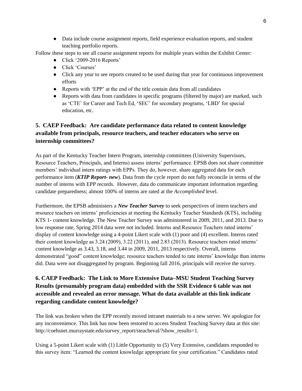● Data include course assignment reports, field experience evaluation reports, and student teaching portfolio reports.

Follow these steps to see all course assignment reports for multiple years within the Exhibit Center:

- Click '2009-2016 Reports'
- Click 'Courses'
- Click any year to see reports created to be used during that year for continuous improvement efforts
- Reports with 'EPP' at the end of the title contain data from all candidates
- Reports with data from candidates in specific programs (filtered by major) are marked, such as 'CTE' for Career and Tech Ed, 'SEC' for secondary programs, 'LBD' for special education, etc.

### **5. CAEP Feedback: Are candidate performance data related to content knowledge available from principals, resource teachers, and teacher educators who serve on internship committees?**

As part of the Kentucky Teacher Intern Program, internship committees (University Supervisors, Resource Teachers, Principals, and Interns) assess interns' performance. EPSB does not share committee members' individual intern ratings with EPPs. They do, however, share aggregated data for each performance item (*KTIP Report- new*). Data from the cycle report do not fully reconcile in terms of the number of interns with EPP records. However, data do communicate important information regarding candidate preparedness; almost 100% of interns are rated at the *Accomplished* level.

Furthermore, the EPSB administers a *New Teacher Survey* to seek perspectives of intern teachers and resource teachers on interns' proficiencies at meeting the Kentucky Teacher Standards (KTS), including KTS 1- content knowledge. The New Teacher Survey was administered in 2009, 2011, and 2013. Due to low response rate, Spring 2014 data were not included. Interns and Resource Teachers rated interns' display of content knowledge using a 4-point Likert scale with (1) poor and (4) excellent. Interns rated their content knowledge as 3.24 (2009), 3.22 (2011), and 2.83 (2013). Resource teachers rated interns' content knowledge as 3.43, 3.18, and 3.44 in 2009, 2011, 2013 respectively. Overall, interns demonstrated "good" content knowledge; resource teachers tended to rate interns' knowledge than interns did. Data were not disaggregated by program. Beginning fall 2016, principals will receive the survey.

## **6. CAEP Feedback: The Link to More Extensive Data–MSU Student Teaching Survey Results (presumably program data) embedded with the SSR Evidence 6 table was not accessible and revealed an error message. What do data available at this link indicate regarding candidate content knowledge?**

The link was broken when the EPP recently moved intranet materials to a new server. We apologize for any inconvenience. This link has now been restored to access Student Teaching Survey data at this site: http://coehsnet.murraystate.edu/survey\_report/steacheval/?show\_results=1.

Using a 5-point Likert scale with (1) Little Opportunity to (5) Very Extensive, candidates responded to this survey item: "Learned the content knowledge appropriate for your certification." Candidates rated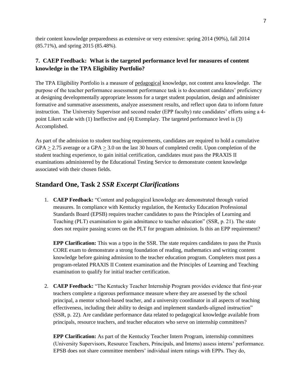their content knowledge preparedness as extensive or very extensive: spring 2014 (90%), fall 2014 (85.71%), and spring 2015 (85.48%).

#### **7. CAEP Feedback: What is the targeted performance level for measures of content knowledge in the TPA Eligibility Portfolio?**

The TPA Eligibility Portfolio is a measure of pedagogical knowledge, not content area knowledge. The purpose of the teacher performance assessment performance task is to document candidates' proficiency at designing developmentally appropriate lessons for a target student population, design and administer formative and summative assessments, analyze assessment results, and reflect upon data to inform future instruction. The University Supervisor and second reader (EPP faculty) rate candidates' efforts using a 4 point Likert scale with (1) Ineffective and (4) Exemplary. The targeted performance level is (3) Accomplished.

As part of the admission to student teaching requirements, candidates are required to hold a cumulative  $GPA > 2.75$  average or a  $GPA > 3.0$  on the last 30 hours of completed credit. Upon completion of the student teaching experience, to gain initial certification, candidates must pass the PRAXIS II examinations administered by the Educational Testing Service to demonstrate content knowledge associated with their chosen fields.

## **Standard One, Task 2** *SSR Excerpt Clarifications*

1. **CAEP Feedback:** "Content and pedagogical knowledge are demonstrated through varied measures. In compliance with Kentucky regulation, the Kentucky Education Professional Standards Board (EPSB) requires teacher candidates to pass the Principles of Learning and Teaching (PLT) examination to gain admittance to teacher education" (SSR, p. 21). The state does not require passing scores on the PLT for program admission. Is this an EPP requirement?

**EPP Clarification:** This was a typo in the SSR. The state requires candidates to pass the Praxis CORE exam to demonstrate a strong foundation of reading, mathematics and writing content knowledge before gaining admission to the teacher education program. Completers must pass a program-related PRAXIS II Content examination and the Principles of Learning and Teaching examination to qualify for initial teacher certification.

2. **CAEP Feedback:** "The Kentucky Teacher Internship Program provides evidence that first-year teachers complete a rigorous performance measure where they are assessed by the school principal, a mentor school-based teacher, and a university coordinator in all aspects of teaching effectiveness, including their ability to design and implement standards-aligned instruction" (SSR, p. 22). Are candidate performance data related to pedagogical knowledge available from principals, resource teachers, and teacher educators who serve on internship committees?

**EPP Clarification:** As part of the Kentucky Teacher Intern Program, internship committees (University Supervisors, Resource Teachers, Principals, and Interns) assess interns' performance. EPSB does not share committee members' individual intern ratings with EPPs. They do,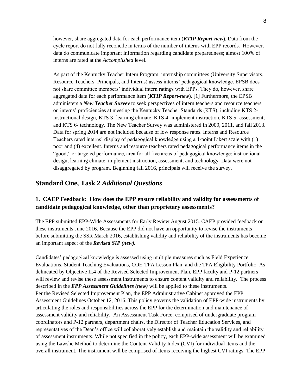however, share aggregated data for each performance item (*KTIP Report-new*). Data from the cycle report do not fully reconcile in terms of the number of interns with EPP records. However, data do communicate important information regarding candidate preparedness; almost 100% of interns are rated at the *Accomplished* level.

As part of the Kentucky Teacher Intern Program, internship committees (University Supervisors, Resource Teachers, Principals, and Interns) assess interns' pedagogical knowledge. EPSB does not share committee members' individual intern ratings with EPPs. They do, however, share aggregated data for each performance item (*KTIP Report-new*). [1] Furthermore, the EPSB administers a *New Teacher Survey* to seek perspectives of intern teachers and resource teachers on interns' proficiencies at meeting the Kentucky Teacher Standards (KTS), including KTS 2 instructional design, KTS 3- learning climate, KTS 4- implement instruction, KTS 5- assessment, and KTS 6- technology. The New Teacher Survey was administered in 2009, 2011, and fall 2013. Data for spring 2014 are not included because of low response rates. Interns and Resource Teachers rated interns' display of pedagogical knowledge using a 4-point Likert scale with (1) poor and (4) excellent. Interns and resource teachers rated pedagogical performance items in the "good," or targeted performance, area for all five areas of pedagogical knowledge: instructional design, learning climate, implement instruction, assessment, and technology. Data were not disaggregated by program. Beginning fall 2016, principals will receive the survey.

#### **Standard One, Task 2** *Additional Questions*

#### **1. CAEP Feedback: How does the EPP ensure reliability and validity for assessments of candidate pedagogical knowledge, other than proprietary assessments?**

The EPP submitted EPP-Wide Assessments for Early Review August 2015. CAEP provided feedback on these instruments June 2016. Because the EPP did not have an opportunity to revise the instruments before submitting the SSR March 2016, establishing validity and reliability of the instruments has become an important aspect of the *Revised SIP (new).*

Candidates' pedagogical knowledge is assessed using multiple measures such as Field Experience Evaluations, Student Teaching Evaluations, COE-TPA Lesson Plan, and the TPA Eligibility Portfolio. As delineated by Objective II.4 of the Revised Selected Improvement Plan, EPP faculty and P-12 partners will review and revise these assessment instruments to ensure content validity and reliability. The process described in the *EPP Assessment Guidelines (new)* will be applied to these instruments. Per the Revised Selected Improvement Plan, the EPP Administrative Cabinet approved the EPP Assessment Guidelines October 12, 2016. This policy governs the validation of EPP-wide instruments by articulating the roles and responsibilities across the EPP for the determination and maintenance of assessment validity and reliability. An Assessment Task Force, comprised of undergraduate program coordinators and P-12 partners, department chairs, the Director of Teacher Education Services, and representatives of the Dean's office will collaboratively establish and maintain the validity and reliability of assessment instruments. While not specified in the policy, each EPP-wide assessment will be examined using the Lawshe Method to determine the Content Validity Index (CVI) for individual items and the overall instrument. The instrument will be comprised of items receiving the highest CVI ratings. The EPP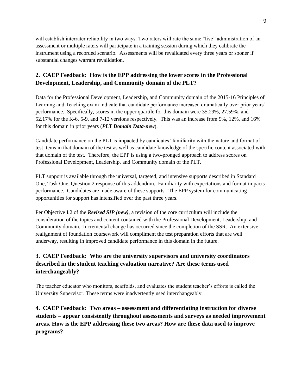will establish interrater reliability in two ways. Two raters will rate the same "live" administration of an assessment or multiple raters will participate in a training session during which they calibrate the instrument using a recorded scenario. Assessments will be revalidated every three years or sooner if substantial changes warrant revalidation.

## **2. CAEP Feedback: How is the EPP addressing the lower scores in the Professional Development, Leadership, and Community domain of the PLT?**

Data for the Professional Development, Leadership, and Community domain of the 2015-16 Principles of Learning and Teaching exam indicate that candidate performance increased dramatically over prior years' performance. Specifically, scores in the upper quartile for this domain were 35.29%, 27.59%, and 52.17% for the K-6, 5-9, and 7-12 versions respectively. This was an increase from 9%, 12%, and 16% for this domain in prior years (*PLT Domain Data-new*).

Candidate performance on the PLT is impacted by candidates' familiarity with the nature and format of test items in that domain of the test as well as candidate knowledge of the specific content associated with that domain of the test. Therefore, the EPP is using a two-pronged approach to address scores on Professional Development, Leadership, and Community domain of the PLT.

PLT support is available through the universal, targeted, and intensive supports described in Standard One, Task One, Question 2 response of this addendum. Familiarity with expectations and format impacts performance. Candidates are made aware of these supports. The EPP system for communicating opportunities for support has intensified over the past three years.

Per Objective I.2 of the *Revised SIP (new)*, a revision of the core curriculum will include the consideration of the topics and content contained with the Professional Development, Leadership, and Community domain. Incremental change has occurred since the completion of the SSR. An extensive realignment of foundation coursework will compliment the test preparation efforts that are well underway, resulting in improved candidate performance in this domain in the future.

## **3. CAEP Feedback: Who are the university supervisors and university coordinators described in the student teaching evaluation narrative? Are these terms used interchangeably?**

The teacher educator who monitors, scaffolds, and evaluates the student teacher's efforts is called the University Supervisor. These terms were inadvertently used interchangeably.

**4. CAEP Feedback: Two areas – assessment and differentiating instruction for diverse students – appear consistently throughout assessments and surveys as needed improvement areas. How is the EPP addressing these two areas? How are these data used to improve programs?**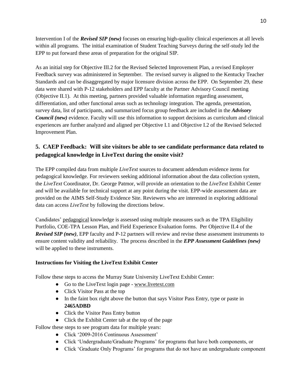Intervention I of the *Revised SIP (new)* focuses on ensuring high-quality clinical experiences at all levels within all programs. The initial examination of Student Teaching Surveys during the self-study led the EPP to put forward these areas of preparation for the original SIP.

As an initial step for Objective III.2 for the Revised Selected Improvement Plan, a revised Employer Feedback survey was administered in September. The revised survey is aligned to the Kentucky Teacher Standards and can be disaggregated by major licensure division across the EPP. On September 29, these data were shared with P-12 stakeholders and EPP faculty at the Partner Advisory Council meeting (Objective II.1). At this meeting, partners provided valuable information regarding assessment, differentiation, and other functional areas such as technology integration. The agenda, presentation, survey data, list of participants, and summarized focus group feedback are included in the *Advisory Council (new)* evidence. Faculty will use this information to support decisions as curriculum and clinical experiences are further analyzed and aligned per Objective I.1 and Objective I.2 of the Revised Selected Improvement Plan.

### **5. CAEP Feedback: Will site visitors be able to see candidate performance data related to pedagogical knowledge in LiveText during the onsite visit?**

The EPP compiled data from multiple *LiveText* sources to document addendum evidence items for pedagogical knowledge. For reviewers seeking additional information about the data collection system, the *LiveText* Coordinator, Dr. George Patmor, will provide an orientation to the *LiveText* Exhibit Center and will be available for technical support at any point during the visit. EPP-wide assessment data are provided on the AIMS Self-Study Evidence Site. Reviewers who are interested in exploring additional data can access *LiveText* by following the directions below.

Candidates' pedagogical knowledge is assessed using multiple measures such as the TPA Eligibility Portfolio, COE-TPA Lesson Plan, and Field Experience Evaluation forms. Per Objective II.4 of the *Revised SIP (new)*, EPP faculty and P-12 partners will review and revise these assessment instruments to ensure content validity and reliability. The process described in the *EPP Assessment Guidelines (new)* will be applied to these instruments.

#### **Instructions for Visiting the LiveText Exhibit Center**

Follow these steps to access the Murray State University LiveText Exhibit Center:

- Go to the LiveText login page [www.livetext.com](http://www.livetext.com/)
- Click Visitor Pass at the top
- In the faint box right above the button that says Visitor Pass Entry, type or paste in **2465ADBD**
- Click the Visitor Pass Entry button
- Click the Exhibit Center tab at the top of the page

Follow these steps to see program data for multiple years:

- Click '2009-2016 Continuous Assessment'
- Click 'Undergraduate/Graduate Programs' for programs that have both components, or
- Click 'Graduate Only Programs' for programs that do not have an undergraduate component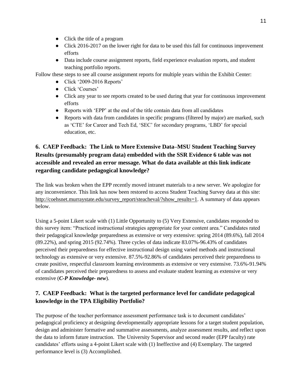- Click the title of a program
- Click 2016-2017 on the lower right for data to be used this fall for continuous improvement efforts
- Data include course assignment reports, field experience evaluation reports, and student teaching portfolio reports.

Follow these steps to see all course assignment reports for multiple years within the Exhibit Center:

- Click '2009-2016 Reports'
- Click 'Courses'
- Click any year to see reports created to be used during that year for continuous improvement efforts
- Reports with 'EPP' at the end of the title contain data from all candidates
- Reports with data from candidates in specific programs (filtered by major) are marked, such as 'CTE' for Career and Tech Ed, 'SEC' for secondary programs, 'LBD' for special education, etc.

## **6. CAEP Feedback: The Link to More Extensive Data–MSU Student Teaching Survey Results (presumably program data) embedded with the SSR Evidence 6 table was not accessible and revealed an error message. What do data available at this link indicate regarding candidate pedagogical knowledge?**

The link was broken when the EPP recently moved intranet materials to a new server. We apologize for any inconvenience. This link has now been restored to access Student Teaching Survey data at this site: http://coehsnet.murraystate.edu/survey\_report/steacheval/?show\_results=1. A summary of data appears below.

Using a 5-point Likert scale with (1) Little Opportunity to (5) Very Extensive, candidates responded to this survey item: "Practiced instructional strategies appropriate for your content area." Candidates rated their pedagogical knowledge preparedness as extensive or very extensive: spring 2014 (89.6%), fall 2014 (89.22%), and spring 2015 (92.74%). Three cycles of data indicate 83.07%-96.43% of candidates perceived their preparedness for effective instructional design using varied methods and instructional technology as extensive or very extensive. 87.5%-92.86% of candidates perceived their preparedness to create positive, respectful classroom learning environments as extensive or very extensive. 73.6%-91.94% of candidates perceived their preparedness to assess and evaluate student learning as extensive or very extensive (*C-P Knowledge- new*)*.*

## **7. CAEP Feedback: What is the targeted performance level for candidate pedagogical knowledge in the TPA Eligibility Portfolio?**

The purpose of the teacher performance assessment performance task is to document candidates' pedagogical proficiency at designing developmentally appropriate lessons for a target student population, design and administer formative and summative assessments, analyze assessment results, and reflect upon the data to inform future instruction. The University Supervisor and second reader (EPP faculty) rate candidates' efforts using a 4-point Likert scale with (1) Ineffective and (4) Exemplary. The targeted performance level is (3) Accomplished.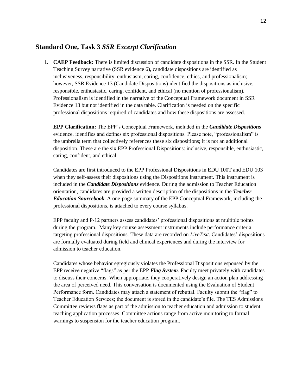### **Standard One, Task 3** *SSR Excerpt Clarification*

**1. CAEP Feedback:** There is limited discussion of candidate dispositions in the SSR. In the Student Teaching Survey narrative (SSR evidence 6), candidate dispositions are identified as inclusiveness, responsibility, enthusiasm, caring, confidence, ethics, and professionalism; however, SSR Evidence 13 (Candidate Dispositions) identified the dispositions as inclusive, responsible, enthusiastic, caring, confident, and ethical (no mention of professionalism). Professionalism is identified in the narrative of the Conceptual Framework document in SSR Evidence 13 but not identified in the data table. Clarification is needed on the specific professional dispositions required of candidates and how these dispositions are assessed.

**EPP Clarification:** The EPP's Conceptual Framework, included in the *Candidate Dispositions*  evidence, identifies and defines six professional dispositions. Please note, "professionalism" is the umbrella term that collectively references these six dispositions; it is not an additional disposition. These are the six EPP Professional Dispositions: inclusive, responsible, enthusiastic, caring, confident, and ethical.

Candidates are first introduced to the EPP Professional Dispositions in EDU 100T and EDU 103 when they self-assess their dispositions using the Dispositions Instrument. This instrument is included in the *Candidate Dispositions* evidence. During the admission to Teacher Education orientation, candidates are provided a written description of the dispositions in the *Teacher Education Sourcebook*. A one-page summary of the EPP Conceptual Framework, including the professional dispositions, is attached to every course syllabus.

EPP faculty and P-12 partners assess candidates' professional dispositions at multiple points during the program. Many key course assessment instruments include performance criteria targeting professional dispositions. These data are recorded on *LiveText.* Candidates' dispositions are formally evaluated during field and clinical experiences and during the interview for admission to teacher education.

Candidates whose behavior egregiously violates the Professional Dispositions espoused by the EPP receive negative "flags" as per the EPP *Flag System*. Faculty meet privately with candidates to discuss their concerns. When appropriate, they cooperatively design an action plan addressing the area of perceived need. This conversation is documented using the Evaluation of Student Performance form. Candidates may attach a statement of rebuttal. Faculty submit the "flag" to Teacher Education Services; the document is stored in the candidate's file. The TES Admissions Committee reviews flags as part of the admission to teacher education and admission to student teaching application processes. Committee actions range from active monitoring to formal warnings to suspension for the teacher education program.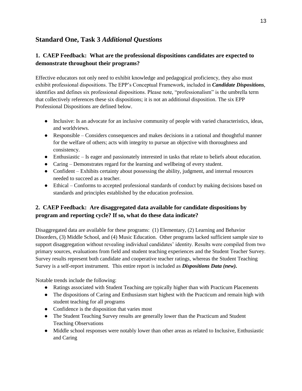## **Standard One, Task 3** *Additional Questions*

### **1. CAEP Feedback: What are the professional dispositions candidates are expected to demonstrate throughout their programs?**

Effective educators not only need to exhibit knowledge and pedagogical proficiency, they also must exhibit professional dispositions. The EPP's Conceptual Framework, included in *Candidate Dispositions*, identifies and defines six professional dispositions. Please note, "professionalism" is the umbrella term that collectively references these six dispositions; it is not an additional disposition. The six EPP Professional Dispositions are defined below.

- Inclusive: Is an advocate for an inclusive community of people with varied characteristics, ideas, and worldviews.
- Responsible Considers consequences and makes decisions in a rational and thoughtful manner for the welfare of others; acts with integrity to pursue an objective with thoroughness and consistency.
- Enthusiastic Is eager and passionately interested in tasks that relate to beliefs about education.
- Caring Demonstrates regard for the learning and wellbeing of every student.
- Confident Exhibits certainty about possessing the ability, judgment, and internal resources needed to succeed as a teacher.
- Ethical Conforms to accepted professional standards of conduct by making decisions based on standards and principles established by the education profession.

### **2. CAEP Feedback: Are disaggregated data available for candidate dispositions by program and reporting cycle? If so, what do these data indicate?**

Disaggregated data are available for these programs: (1) Elementary, (2) Learning and Behavior Disorders, (3) Middle School, and (4) Music Education. Other programs lacked sufficient sample size to support disaggregation without revealing individual candidates' identity. Results were compiled from two primary sources, evaluations from field and student teaching experiences and the Student Teacher Survey. Survey results represent both candidate and cooperative teacher ratings, whereas the Student Teaching Survey is a self-report instrument. This entire report is included as *Dispositions Data (new).*

Notable trends include the following:

- Ratings associated with Student Teaching are typically higher than with Practicum Placements
- The dispositions of Caring and Enthusiasm start highest with the Practicum and remain high with student teaching for all programs
- Confidence is the disposition that varies most
- The Student Teaching Survey results are generally lower than the Practicum and Student Teaching Observations
- Middle school responses were notably lower than other areas as related to Inclusive, Enthusiastic and Caring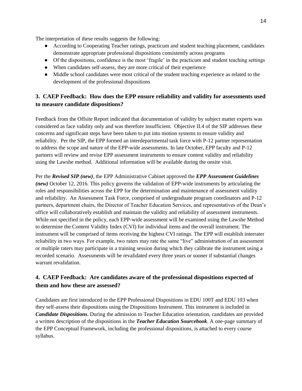The interpretation of these results suggests the following:

- According to Cooperating Teacher ratings, practicum and student teaching placement, candidates demonstrate appropriate professional dispositions consistently across programs
- Of the dispositions, confidence is the most 'fragile' in the practicum and student teaching settings
- When candidates self-assess, they are more critical of their experience
- Middle school candidates were most critical of the student teaching experience as related to the development of the professional dispositions

### **3. CAEP Feedback: How does the EPP ensure reliability and validity for assessments used to measure candidate dispositions?**

Feedback from the Offsite Report indicated that documentation of validity by subject matter experts was considered as face validity only and was therefore insufficient. Objective II.4 of the SIP addresses these concerns and significant steps have been taken to put into motion systems to ensure validity and reliability. Per the SIP, the EPP formed an interdepartmental task force with P-12 partner representation to address the scope and nature of the EPP-wide assessments. In late October, EPP faculty and P-12 partners will review and revise EPP assessment instruments to ensure content validity and reliability using the Lawshe method. Additional information will be available during the onsite visit.

Per the *Revised SIP (new)*, the EPP Administrative Cabinet approved the *EPP Assessment Guidelines (new)* October 12, 2016. This policy governs the validation of EPP-wide instruments by articulating the roles and responsibilities across the EPP for the determination and maintenance of assessment validity and reliability. An Assessment Task Force, comprised of undergraduate program coordinators and P-12 partners, department chairs, the Director of Teacher Education Services, and representatives of the Dean's office will collaboratively establish and maintain the validity and reliability of assessment instruments. While not specified in the policy, each EPP-wide assessment will be examined using the Lawshe Method to determine the Content Validity Index (CVI) for individual items and the overall instrument. The instrument will be comprised of items receiving the highest CVI ratings. The EPP will establish interrater reliability in two ways. For example, two raters may rate the same "live" administration of an assessment or multiple raters may participate in a training session during which they calibrate the instrument using a recorded scenario. Assessments will be revalidated every three years or sooner if substantial changes warrant revalidation.

### **4. CAEP Feedback: Are candidates aware of the professional dispositions expected of them and how these are assessed?**

Candidates are first introduced to the EPP Professional Dispositions in EDU 100T and EDU 103 when they self-assess their dispositions using the Dispositions Instrument. This instrument is included in *Candidate Dispositions*. During the admission to Teacher Education orientation, candidates are provided a written description of the dispositions in the *Teacher Education Sourcebook*. A one-page summary of the EPP Conceptual Framework, including the professional dispositions, is attached to every course syllabus.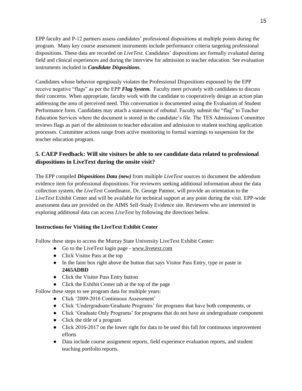EPP faculty and P-12 partners assess candidates' professional dispositions at multiple points during the program. Many key course assessment instruments include performance criteria targeting professional dispositions. These data are recorded on *LiveText.* Candidates' dispositions are formally evaluated during field and clinical experiences and during the interview for admission to teacher education. See evaluation instruments included in *Candidate Dispositions*.

Candidates whose behavior egregiously violates the Professional Dispositions espoused by the EPP receive negative "flags" as per the EPP *Flag System.* Faculty meet privately with candidates to discuss their concerns. When appropriate, faculty work with the candidate to cooperatively design an action plan addressing the area of perceived need. This conversation is documented using the Evaluation of Student Performance form. Candidates may attach a statement of rebuttal. Faculty submit the "flag" to Teacher Education Services where the document is stored in the candidate's file. The TES Admissions Committee reviews flags as part of the admission to teacher education and admission to student teaching application processes. Committee actions range from active monitoring to formal warnings to suspension for the teacher education program.

### **5. CAEP Feedback: Will site visitors be able to see candidate data related to professional dispositions in LiveText during the onsite visit?**

The EPP compiled *Dispositions Data (new)* from multiple *LiveText* sources to document the addendum evidence item for professional dispositions. For reviewers seeking additional information about the data collection system, the *LiveText* Coordinator, Dr. George Patmor, will provide an orientation to the *LiveText* Exhibit Center and will be available for technical support at any point during the visit. EPP-wide assessment data are provided on the AIMS Self-Study Evidence site. Reviewers who are interested in exploring additional data can access *LiveText* by following the directions below.

#### **Instructions for Visiting the LiveText Exhibit Center**

Follow these steps to access the Murray State University LiveText Exhibit Center:

- Go to the LiveText login page [www.livetext.com](http://www.livetext.com/)
- Click Visitor Pass at the top
- In the faint box right above the button that says Visitor Pass Entry, type or paste in **2465ADBD**
- Click the Visitor Pass Entry button
- Click the Exhibit Center tab at the top of the page

Follow these steps to see program data for multiple years:

- Click '2009-2016 Continuous Assessment'
- Click 'Undergraduate/Graduate Programs' for programs that have both components, or
- Click 'Graduate Only Programs' for programs that do not have an undergraduate component
- Click the title of a program
- Click 2016-2017 on the lower right for data to be used this fall for continuous improvement efforts
- Data include course assignment reports, field experience evaluation reports, and student teaching portfolio reports.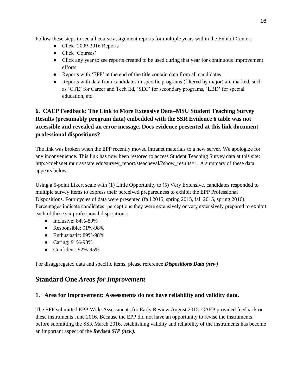Follow these steps to see all course assignment reports for multiple years within the Exhibit Center:

- Click '2009-2016 Reports'
- Click 'Courses'
- Click any year to see reports created to be used during that year for continuous improvement efforts
- Reports with 'EPP' at the end of the title contain data from all candidates
- Reports with data from candidates in specific programs (filtered by major) are marked, such as 'CTE' for Career and Tech Ed, 'SEC' for secondary programs, 'LBD' for special education, etc.

## **6. CAEP Feedback: The Link to More Extensive Data–MSU Student Teaching Survey Results (presumably program data) embedded with the SSR Evidence 6 table was not accessible and revealed an error message. Does evidence presented at this link document professional dispositions?**

The link was broken when the EPP recently moved intranet materials to a new server. We apologize for any inconvenience. This link has now been restored to access Student Teaching Survey data at this site: http://coehsnet.murraystate.edu/survey\_report/steacheval/?show\_results=1. A summary of these data appears below.

Using a 5-point Likert scale with (1) Little Opportunity to (5) Very Extensive, candidates responded to multiple survey items to express their perceived preparedness to exhibit the EPP Professional Dispositions. Four cycles of data were presented (fall 2015, spring 2015, fall 2015, spring 2016). Percentages indicate candidates' perceptions they were extensively or very extensively prepared to exhibit each of these six professional dispositions:

- $\bullet$  Inclusive:  $84\% 89\%$
- Responsible: 91%-98%
- Enthusiastic: 89%-98%
- Caring: 91%-98%
- Confident: 92%-95%

For disaggregated data and specific items, please reference *Dispositions Data (new)*.

## **Standard One** *Areas for Improvement*

#### **1. Area for Improvement: Assessments do not have reliability and validity data.**

The EPP submitted EPP-Wide Assessments for Early Review August 2015. CAEP provided feedback on these instruments June 2016. Because the EPP did not have an opportunity to revise the instruments before submitting the SSR March 2016, establishing validity and reliability of the instruments has become an important aspect of the *Revised SIP (new).*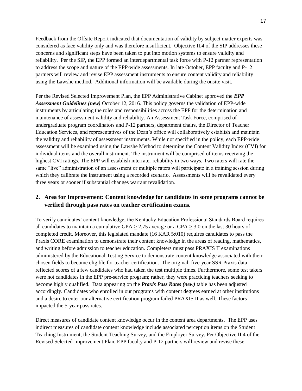Feedback from the Offsite Report indicated that documentation of validity by subject matter experts was considered as face validity only and was therefore insufficient. Objective II.4 of the SIP addresses these concerns and significant steps have been taken to put into motion systems to ensure validity and reliability. Per the SIP, the EPP formed an interdepartmental task force with P-12 partner representation to address the scope and nature of the EPP-wide assessments. In late October, EPP faculty and P-12 partners will review and revise EPP assessment instruments to ensure content validity and reliability using the Lawshe method. Additional information will be available during the onsite visit.

Per the Revised Selected Improvement Plan, the EPP Administrative Cabinet approved the *EPP Assessment Guidelines (new)* October 12, 2016. This policy governs the validation of EPP-wide instruments by articulating the roles and responsibilities across the EPP for the determination and maintenance of assessment validity and reliability. An Assessment Task Force, comprised of undergraduate program coordinators and P-12 partners, department chairs, the Director of Teacher Education Services, and representatives of the Dean's office will collaboratively establish and maintain the validity and reliability of assessment instruments. While not specified in the policy, each EPP-wide assessment will be examined using the Lawshe Method to determine the Content Validity Index (CVI) for individual items and the overall instrument. The instrument will be comprised of items receiving the highest CVI ratings. The EPP will establish interrater reliability in two ways. Two raters will rate the same "live" administration of an assessment or multiple raters will participate in a training session during which they calibrate the instrument using a recorded scenario. Assessments will be revalidated every three years or sooner if substantial changes warrant revalidation.

#### **2. Area for Improvement: Content knowledge for candidates in some programs cannot be verified through pass rates on teacher certification exams.**

To verify candidates' content knowledge, the Kentucky Education Professional Standards Board requires all candidates to maintain a cumulative GPA  $>$  2.75 average or a GPA  $>$  3.0 on the last 30 hours of completed credit. Moreover, this legislated mandate (16 KAR 5:010) requires candidates to pass the Praxis CORE examination to demonstrate their content knowledge in the areas of reading, mathematics, and writing before admission to teacher education. Completers must pass PRAXIS II examinations administered by the Educational Testing Service to demonstrate content knowledge associated with their chosen fields to become eligible for teacher certification. The original, five-year SSR Praxis data reflected scores of a few candidates who had taken the test multiple times. Furthermore, some test takers were not candidates in the EPP pre-service program; rather, they were practicing teachers seeking to become highly qualified. Data appearing on the *Praxis Pass Rates (new)* table has been adjusted accordingly. Candidates who enrolled in our programs with content degrees earned at other institutions and a desire to enter our alternative certification program failed PRAXIS II as well. These factors impacted the 5-year pass rates.

Direct measures of candidate content knowledge occur in the content area departments. The EPP uses indirect measures of candidate content knowledge include associated perception items on the Student Teaching Instrument, the Student Teaching Survey, and the Employer Survey. Per Objective II.4 of the Revised Selected Improvement Plan, EPP faculty and P-12 partners will review and revise these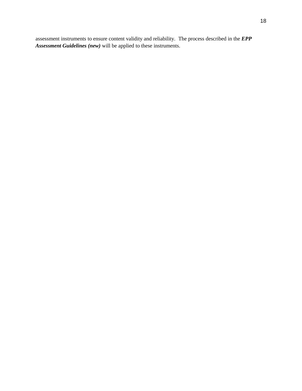assessment instruments to ensure content validity and reliability. The process described in the *EPP Assessment Guidelines (new)* will be applied to these instruments.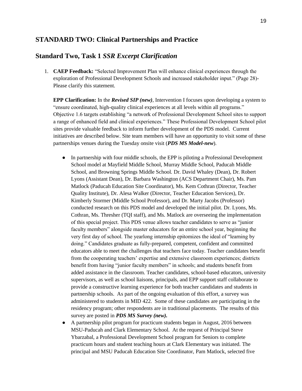#### **STANDARD TWO: Clinical Partnerships and Practice**

#### **Standard Two, Task 1** *SSR Excerpt Clarification*

1. **CAEP Feedback:** "Selected Improvement Plan will enhance clinical experiences through the exploration of Professional Development Schools and increased stakeholder input." (Page 28)- Please clarify this statement.

**EPP Clarification:** In the *Revised SIP (new)*, Intervention I focuses upon developing a system to "ensure coordinated, high-quality clinical experiences at all levels within all programs." Objective 1.6 targets establishing "a network of Professional Development School sites to support a range of enhanced field and clinical experiences." These Professional Development School pilot sites provide valuable feedback to inform further development of the PDS model. Current initiatives are described below. Site team members will have an opportunity to visit some of these partnerships venues during the Tuesday onsite visit (*PDS MS Model-new*).

- In partnership with four middle schools, the EPP is piloting a Professional Development School model at Mayfield Middle School, Murray Middle School, Paducah Middle School, and Browning Springs Middle School. Dr. David Whaley (Dean), Dr. Robert Lyons (Assistant Dean), Dr. Barbara Washington (ACS Department Chair), Ms. Pam Matlock (Paducah Education Site Coordinator), Ms. Kem Cothran (Director, Teacher Quality Institute), Dr. Alesa Walker (Director, Teacher Education Services), Dr. Kimberly Stormer (Middle School Professor), and Dr. Marty Jacobs (Professor) conducted research on this PDS model and developed the initial pilot. Dr. Lyons, Ms. Cothran, Ms. Thresher (TQI staff), and Ms. Matlock are overseeing the implementation of this special project. This PDS venue allows teacher candidates to serve as "junior faculty members" alongside master educators for an entire school year, beginning the very first day of school. The yearlong internship epitomizes the ideal of "learning by doing." Candidates graduate as fully-prepared, competent, confident and committed educators able to meet the challenges that teachers face today. Teacher candidates benefit from the cooperating teachers' expertise and extensive classroom experiences; districts benefit from having "junior faculty members" in schools; and students benefit from added assistance in the classroom. Teacher candidates, school-based educators, university supervisors, as well as school liaisons, principals, and EPP support staff collaborate to provide a constructive learning experience for both teacher candidates and students in partnership schools. As part of the ongoing evaluation of this effort, a survey was administered to students in MID 422. Some of these candidates are participating in the residency program; other respondents are in traditional placements. The results of this survey are posted in *PDS MS Survey (new).*
- A partnership pilot program for practicum students began in August, 2016 between MSU-Paducah and Clark Elementary School. At the request of Principal Steve Ybarzabal, a Professional Development School program for Seniors to complete practicum hours and student teaching hours at Clark Elementary was initiated. The principal and MSU Paducah Education Site Coordinator, Pam Matlock, selected five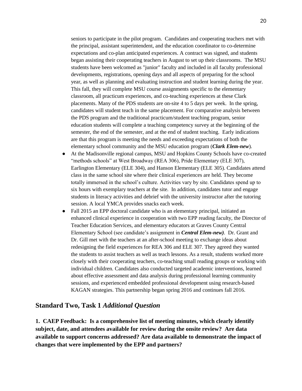seniors to participate in the pilot program. Candidates and cooperating teachers met with the principal, assistant superintendent, and the education coordinator to co-determine expectations and co-plan anticipated experiences. A contract was signed, and students began assisting their cooperating teachers in August to set up their classrooms. The MSU students have been welcomed as "junior" faculty and included in all faculty professional developments, registrations, opening days and all aspects of preparing for the school year, as well as planning and evaluating instruction and student learning during the year. This fall, they will complete MSU course assignments specific to the elementary classroom, all practicum experiences, and co-teaching experiences at these Clark placements. Many of the PDS students are on-site 4 to 5 days per week. In the spring, candidates will student teach in the same placement. For comparative analysis between the PDS program and the traditional practicum/student teaching program, senior education students will complete a teaching competency survey at the beginning of the semester, the end of the semester, and at the end of student teaching. Early indications are that this program is meeting the needs and exceeding expectations of both the elementary school community and the MSU education program (*Clark Elem-new*).

- At the Madisonville regional campus, MSU and Hopkins County Schools have co-created "methods schools" at West Broadway (REA 306), Pride Elementary (ELE 307), Earlington Elementary (ELE 304), and Hanson Elementary (ELE 305). Candidates attend class in the same school site where their clinical experiences are held. They become totally immersed in the school's culture. Activities vary by site. Candidates spend up to six hours with exemplary teachers at the site. In addition, candidates tutor and engage students in literacy activities and debrief with the university instructor after the tutoring session. A local YMCA provides snacks each week.
- Fall 2015 an EPP doctoral candidate who is an elementary principal, initiated an enhanced clinical experience in cooperation with two EPP reading faculty, the Director of Teacher Education Services, and elementary educators at Graves County Central Elementary School (see candidate's assignment in *Central Elem-new).* Dr. Grant and Dr. Gill met with the teachers at an after-school meeting to exchange ideas about redesigning the field experiences for REA 306 and ELE 307. They agreed they wanted the students to assist teachers as well as teach lessons. As a result, students worked more closely with their cooperating teachers, co-teaching small reading groups or working with individual children. Candidates also conducted targeted academic interventions, learned about effective assessment and data analysis during professional learning community sessions, and experienced embedded professional development using research-based KAGAN strategies. This partnership began spring 2016 and continues fall 2016.

#### **Standard Two, Task 1** *Additional Question*

**1. CAEP Feedback: Is a comprehensive list of meeting minutes, which clearly identify subject, date, and attendees available for review during the onsite review? Are data available to support concerns addressed? Are data available to demonstrate the impact of changes that were implemented by the EPP and partners?**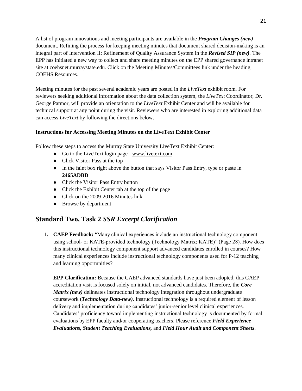A list of program innovations and meeting participants are available in the *Program Changes (new)*  document. Refining the process for keeping meeting minutes that document shared decision-making is an integral part of Intervention II: Refinement of Quality Assurance System in the *Revised SIP (new).* The EPP has initiated a new way to collect and share meeting minutes on the EPP shared governance intranet site at coehsnet.murraystate.edu. Click on the Meeting Minutes/Committees link under the heading COEHS Resources.

Meeting minutes for the past several academic years are posted in the *LiveText* exhibit room. For reviewers seeking additional information about the data collection system, the *LiveText* Coordinator, Dr. George Patmor, will provide an orientation to the *LiveText* Exhibit Center and will be available for technical support at any point during the visit. Reviewers who are interested in exploring additional data can access *LiveText* by following the directions below.

#### **Instructions for Accessing Meeting Minutes on the LiveText Exhibit Center**

Follow these steps to access the Murray State University LiveText Exhibit Center:

- Go to the LiveText login page [www.livetext.com](http://www.livetext.com/)
- Click Visitor Pass at the top
- In the faint box right above the button that says Visitor Pass Entry, type or paste in **2465ADBD**
- Click the Visitor Pass Entry button
- Click the Exhibit Center tab at the top of the page
- Click on the 2009-2016 Minutes link
- Browse by department

### **Standard Two, Task 2** *SSR Excerpt Clarification*

**1. CAEP Feedback:** "Many clinical experiences include an instructional technology component using school- or KATE-provided technology (Technology Matrix; KATE)" (Page 28). How does this instructional technology component support advanced candidates enrolled in courses? How many clinical experiences include instructional technology components used for P-12 teaching and learning opportunities?

**EPP Clarification:** Because the CAEP advanced standards have just been adopted, this CAEP accreditation visit is focused solely on initial, not advanced candidates. Therefore, the *Core Matrix (new)* delineates instructional technology integration throughout undergraduate coursework (*Technology Data-new)*. Instructional technology is a required element of lesson delivery and implementation during candidates' junior-senior level clinical experiences. Candidates' proficiency toward implementing instructional technology is documented by formal evaluations by EPP faculty and/or cooperating teachers. Please reference *Field Experience Evaluations, Student Teaching Evaluations,* and *Field Hour Audit and Component Sheets*.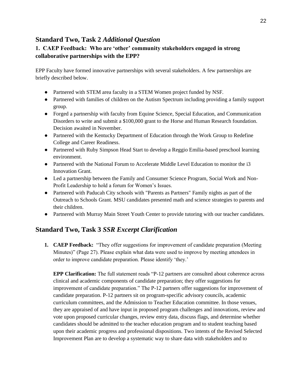## **Standard Two, Task 2** *Additional Question*

### **1. CAEP Feedback: Who are 'other' community stakeholders engaged in strong collaborative partnerships with the EPP?**

EPP Faculty have formed innovative partnerships with several stakeholders. A few partnerships are briefly described below.

- Partnered with STEM area faculty in a STEM Women project funded by NSF.
- Partnered with families of children on the Autism Spectrum including providing a family support group.
- Forged a partnership with faculty from Equine Science, Special Education, and Communication Disorders to write and submit a \$100,000 grant to the Horse and Human Research foundation. Decision awaited in November.
- Partnered with the Kentucky Department of Education through the Work Group to Redefine College and Career Readiness.
- Partnered with Ruby Simpson Head Start to develop a Reggio Emilia-based preschool learning environment.
- Partnered with the National Forum to Accelerate Middle Level Education to monitor the i3 Innovation Grant.
- Led a partnership between the Family and Consumer Science Program, Social Work and Non-Profit Leadership to hold a forum for Women's Issues.
- Partnered with Paducah City schools with "Parents as Partners" Family nights as part of the Outreach to Schools Grant. MSU candidates presented math and science strategies to parents and their children.
- Partnered with Murray Main Street Youth Center to provide tutoring with our teacher candidates.

## **Standard Two, Task 3** *SSR Excerpt Clarification*

**1. CAEP Feedback:** "They offer suggestions for improvement of candidate preparation (Meeting Minutes)" (Page 27). Please explain what data were used to improve by meeting attendees in order to improve candidate preparation. Please identify 'they.'

**EPP Clarification:** The full statement reads "P-12 partners are consulted about coherence across clinical and academic components of candidate preparation; they offer suggestions for improvement of candidate preparation." The P-12 partners offer suggestions for improvement of candidate preparation. P-12 partners sit on program-specific advisory councils, academic curriculum committees, and the Admission to Teacher Education committee. In those venues, they are appraised of and have input in proposed program challenges and innovations, review and vote upon proposed curricular changes, review entry data, discuss flags, and determine whether candidates should be admitted to the teacher education program and to student teaching based upon their academic progress and professional dispositions. Two intents of the Revised Selected Improvement Plan are to develop a systematic way to share data with stakeholders and to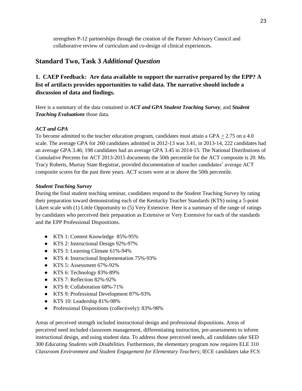strengthen P-12 partnerships through the creation of the Partner Advisory Council and collaborative review of curriculum and co-design of clinical experiences.

### **Standard Two, Task 3** *Additional Question*

**1. CAEP Feedback: Are data available to support the narrative prepared by the EPP? A list of artifacts provides opportunities to valid data. The narrative should include a discussion of data and findings.** 

Here is a summary of the data contained in *ACT and GPA Student Teaching Survey*, and *Student Teaching Evaluations* those data.

#### *ACT and GPA*

To become admitted to the teacher education program, candidates must attain a GPA  $\geq$  2.75 on a 4.0 scale. The average GPA for 260 candidates admitted in 2012-13 was 3.41, in 2013-14, 222 candidates had an average GPA 3.46; 198 candidates had an average GPA 3.45 in 2014-15. The National Distributions of Cumulative Percents for ACT 2013-2015 documents the 50th percentile for the ACT composite is 20. Ms. Tracy Roberts, Murray State Registrar, provided documentation of teacher candidates' average ACT composite scores for the past three years. ACT scores were at or above the 50th percentile.

#### *Student Teaching Survey*

During the final student teaching seminar, candidates respond to the Student Teaching Survey by rating their preparation toward demonstrating each of the Kentucky Teacher Standards (KTS) using a 5-point Likert scale with (1) Little Opportunity to (5) Very Extensive. Here is a summary of the range of ratings by candidates who perceived their preparation as Extensive or Very Extensive for each of the standards and the EPP Professional Dispositions.

- KTS 1: Content Knowledge 85%-95%
- KTS 2: Instructional Design 92%-97%
- KTS 3: Learning Climate 61%-94%
- KTS 4: Instructional Implementation 75%-93%
- KTS 5: Assessment 67%-92%
- KTS 6: Technology 83%-89%
- KTS 7: Reflection 82%-92%
- KTS 8: Collaboration 68%-71%
- KTS 9: Professional Development 87%-93%
- KTS 10: Leadership 81%-98%
- Professional Dispositions (collectively): 83%-98%

Areas of perceived strength included instructional design and professional dispositions. Areas of perceived need included classroom management, differentiating instruction, pre-assessments to inform instructional design, and using student data. To address those perceived needs, all candidates take SED 300 *Educating Students with Disabilities.* Furthermore, the elementary program now requires ELE 310 *Classroom Environment and Student Engagement for Elementary Teachers*; IECE candidates take FCS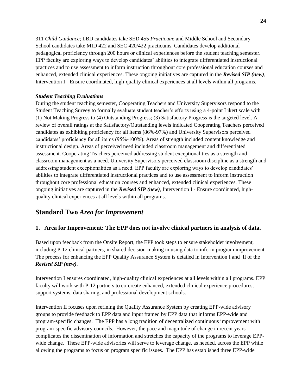311 *Child Guidance*; LBD candidates take SED 455 *Practicum*; and Middle School and Secondary School candidates take MID 422 and SEC 420/422 practicums. Candidates develop additional pedagogical proficiency through 200 hours or clinical experiences before the student teaching semester. EPP faculty are exploring ways to develop candidates' abilities to integrate differentiated instructional practices and to use assessment to inform instruction throughout core professional education courses and enhanced, extended clinical experiences. These ongoing initiatives are captured in the *Revised SIP (new)*, Intervention I - Ensure coordinated, high-quality clinical experiences at all levels within all programs.

#### *Student Teaching Evaluations*

During the student teaching semester, Cooperating Teachers and University Supervisors respond to the Student Teaching Survey to formally evaluate student teacher's efforts using a 4-point Likert scale with (1) Not Making Progress to (4) Outstanding Progress; (3) Satisfactory Progress is the targeted level. A review of overall ratings at the Satisfactory/Outstanding levels indicated Cooperating Teachers perceived candidates as exhibiting proficiency for all items (86%-97%) and University Supervisors perceived candidates' proficiency for all items (95%-100%). Areas of strength included content knowledge and instructional design. Areas of perceived need included classroom management and differentiated assessment. Cooperating Teachers perceived addressing student exceptionalities as a strength and classroom management as a need. University Supervisors perceived classroom discipline as a strength and addressing student exceptionalities as a need. EPP faculty are exploring ways to develop candidates' abilities to integrate differentiated instructional practices and to use assessment to inform instruction throughout core professional education courses and enhanced, extended clinical experiences. These ongoing initiatives are captured in the *Revised SIP (new)*, Intervention I - Ensure coordinated, highquality clinical experiences at all levels within all programs.

### **Standard Two** *Area for Improvement*

#### **1. Area for Improvement: The EPP does not involve clinical partners in analysis of data.**

Based upon feedback from the Onsite Report, the EPP took steps to ensure stakeholder involvement, including P-12 clinical partners, in shared decision-making in using data to inform program improvement. The process for enhancing the EPP Quality Assurance System is detailed in Intervention I and II of the *Revised SIP (new)*.

Intervention I ensures coordinated, high-quality clinical experiences at all levels within all programs. EPP faculty will work with P-12 partners to co-create enhanced, extended clinical experience procedures, support systems, data sharing, and professional development schools.

Intervention II focuses upon refining the Quality Assurance System by creating EPP-wide advisory groups to provide feedback to EPP data and input framed by EPP data that informs EPP-wide and program-specific changes. The EPP has a long tradition of decentralized continuous improvement with program-specific advisory councils. However, the pace and magnitude of change in recent years complicates the dissemination of information and stretches the capacity of the programs to leverage EPPwide change. These EPP-wide advisories will serve to leverage change, as needed, across the EPP while allowing the programs to focus on program specific issues. The EPP has established three EPP-wide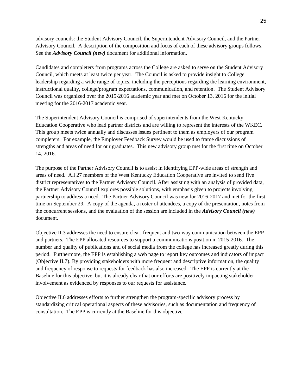advisory councils: the Student Advisory Council, the Superintendent Advisory Council, and the Partner Advisory Council. A description of the composition and focus of each of these advisory groups follows. See the *Advisory Council (new)* document for additional information.

Candidates and completers from programs across the College are asked to serve on the Student Advisory Council, which meets at least twice per year. The Council is asked to provide insight to College leadership regarding a wide range of topics, including the perceptions regarding the learning environment, instructional quality, college/program expectations, communication, and retention. The Student Advisory Council was organized over the 2015-2016 academic year and met on October 13, 2016 for the initial meeting for the 2016-2017 academic year.

The Superintendent Advisory Council is comprised of superintendents from the West Kentucky Education Cooperative who lead partner districts and are willing to represent the interests of the WKEC. This group meets twice annually and discusses issues pertinent to them as employers of our program completers. For example, the Employer Feedback Survey would be used to frame discussions of strengths and areas of need for our graduates. This new advisory group met for the first time on October 14, 2016.

The purpose of the Partner Advisory Council is to assist in identifying EPP-wide areas of strength and areas of need. All 27 members of the West Kentucky Education Cooperative are invited to send five district representatives to the Partner Advisory Council. After assisting with an analysis of provided data, the Partner Advisory Council explores possible solutions, with emphasis given to projects involving partnership to address a need. The Partner Advisory Council was new for 2016-2017 and met for the first time on September 29. A copy of the agenda, a roster of attendees, a copy of the presentation, notes from the concurrent sessions, and the evaluation of the session are included in the *Advisory Council (new)*  document.

Objective II.3 addresses the need to ensure clear, frequent and two-way communication between the EPP and partners. The EPP allocated resources to support a communications position in 2015-2016. The number and quality of publications and of social media from the college has increased greatly during this period. Furthermore, the EPP is establishing a web page to report key outcomes and indicators of impact (Objective II.7). By providing stakeholders with more frequent and descriptive information, the quality and frequency of response to requests for feedback has also increased. The EPP is currently at the Baseline for this objective, but it is already clear that our efforts are positively impacting stakeholder involvement as evidenced by responses to our requests for assistance.

Objective II.6 addresses efforts to further strengthen the program-specific advisory process by standardizing critical operational aspects of these advisories, such as documentation and frequency of consultation. The EPP is currently at the Baseline for this objective.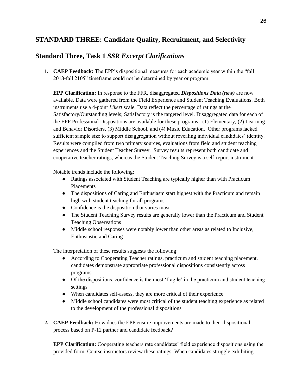## **STANDARD THREE: Candidate Quality, Recruitment, and Selectivity**

## **Standard Three, Task 1** *SSR Excerpt Clarifications*

**1. CAEP Feedback:** The EPP's dispositional measures for each academic year within the "fall 2013-fall 2105" timeframe could not be determined by year or program.

**EPP Clarification:** In response to the FFR, disaggregated *Dispositions Data (new)* are now available. Data were gathered from the Field Experience and Student Teaching Evaluations. Both instruments use a 4-point *Likert* scale. Data reflect the percentage of ratings at the Satisfactory/Outstanding levels; Satisfactory is the targeted level. Disaggregated data for each of the EPP Professional Dispositions are available for these programs: (1) Elementary, (2) Learning and Behavior Disorders, (3) Middle School, and (4) Music Education. Other programs lacked sufficient sample size to support disaggregation without revealing individual candidates' identity. Results were compiled from two primary sources, evaluations from field and student teaching experiences and the Student Teacher Survey. Survey results represent both candidate and cooperative teacher ratings, whereas the Student Teaching Survey is a self-report instrument.

Notable trends include the following:

- Ratings associated with Student Teaching are typically higher than with Practicum **Placements**
- The dispositions of Caring and Enthusiasm start highest with the Practicum and remain high with student teaching for all programs
- Confidence is the disposition that varies most
- The Student Teaching Survey results are generally lower than the Practicum and Student Teaching Observations
- Middle school responses were notably lower than other areas as related to Inclusive, Enthusiastic and Caring

The interpretation of these results suggests the following:

- According to Cooperating Teacher ratings, practicum and student teaching placement, candidates demonstrate appropriate professional dispositions consistently across programs
- Of the dispositions, confidence is the most 'fragile' in the practicum and student teaching settings
- When candidates self-assess, they are more critical of their experience
- Middle school candidates were most critical of the student teaching experience as related to the development of the professional dispositions
- **2. CAEP Feedback:** How does the EPP ensure improvements are made to their dispositional process based on P-12 partner and candidate feedback?

**EPP Clarification:** Cooperating teachers rate candidates' field experience dispositions using the provided form. Course instructors review these ratings. When candidates struggle exhibiting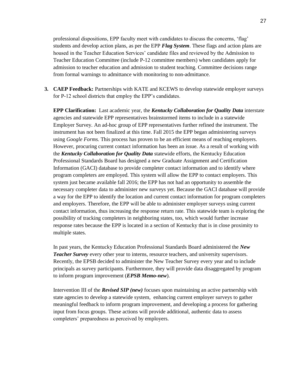professional dispositions, EPP faculty meet with candidates to discuss the concerns, 'flag' students and develop action plans, as per the EPP *Flag System*. These flags and action plans are housed in the Teacher Education Services' candidate files and reviewed by the Admission to Teacher Education Committee (include P-12 committee members) when candidates apply for admission to teacher education and admission to student teaching. Committee decisions range from formal warnings to admittance with monitoring to non-admittance.

**3. CAEP Feedback:** Partnerships with KATE and KCEWS to develop statewide employer surveys for P-12 school districts that employ the EPP's candidates.

**EPP Clarification:** Last academic year, the *Kentucky Collaboration for Quality Data* interstate agencies and statewide EPP representatives brainstormed items to include in a statewide Employer Survey. An ad-hoc group of EPP representatives further refined the instrument. The instrument has not been finalized at this time. Fall 2015 the EPP began administering surveys using *Google Forms.* This process has proven to be an efficient means of reaching employers. However, procuring current contact information has been an issue. As a result of working with the *Kentucky Collaboration for Quality Data* statewide efforts, the Kentucky Education Professional Standards Board has designed a new Graduate Assignment and Certification Information (GACI) database to provide completer contact information and to identify where program completers are employed. This system will allow the EPP to contact employers. This system just became available fall 2016; the EPP has not had an opportunity to assemble the necessary completer data to administer new surveys yet. Because the GACI database will provide a way for the EPP to identify the location and current contact information for program completers and employers. Therefore, the EPP will be able to administer employer surveys using current contact information, thus increasing the response return rate. This statewide team is exploring the possibility of tracking completers in neighboring states, too, which would further increase response rates because the EPP is located in a section of Kentucky that is in close proximity to multiple states.

In past years, the Kentucky Education Professional Standards Board administered the *New Teacher Survey* every other year to interns, resource teachers, and university supervisors. Recently, the EPSB decided to administer the New Teacher Survey every year and to include principals as survey participants. Furthermore, they will provide data disaggregated by program to inform program improvement (*EPSB Memo-new*).

Intervention III of the *Revised SIP (new)* focuses upon maintaining an active partnership with state agencies to develop a statewide system, enhancing current employer surveys to gather meaningful feedback to inform program improvement, and developing a process for gathering input from focus groups. These actions will provide additional, authentic data to assess completers' preparedness as perceived by employers.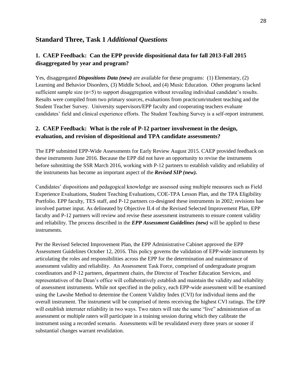### **Standard Three, Task 1** *Additional Questions*

### **1. CAEP Feedback: Can the EPP provide dispositional data for fall 2013-Fall 2015 disaggregated by year and program?**

Yes, disaggregated *Dispositions Data* (*new*) are available for these programs: (1) Elementary, (2) Learning and Behavior Disorders, (3) Middle School, and (4) Music Education. Other programs lacked sufficient sample size (n<5) to support disaggregation without revealing individual candidate's results. Results were compiled from two primary sources, evaluations from practicum/student teaching and the Student Teacher Survey. University supervisors/EPP faculty and cooperating teachers evaluate candidates' field and clinical experience efforts. The Student Teaching Survey is a self-report instrument.

#### **2. CAEP Feedback: What is the role of P-12 partner involvement in the design, evaluation, and revision of dispositional and TPA candidate assessments?**

The EPP submitted EPP-Wide Assessments for Early Review August 2015. CAEP provided feedback on these instruments June 2016. Because the EPP did not have an opportunity to revise the instruments before submitting the SSR March 2016, working with P-12 partners to establish validity and reliability of the instruments has become an important aspect of the *Revised SIP (new).*

Candidates' dispositions and pedagogical knowledge are assessed using multiple measures such as Field Experience Evaluations, Student Teaching Evaluations, COE-TPA Lesson Plan, and the TPA Eligibility Portfolio. EPP faculty, TES staff, and P-12 partners co-designed these instruments in 2002; revisions hae involved partner input. As delineated by Objective II.4 of the Revised Selected Improvement Plan, EPP faculty and P-12 partners will review and revise these assessment instruments to ensure content validity and reliability. The process described in the *EPP Assessment Guidelines (new)* will be applied to these instruments.

Per the Revised Selected Improvement Plan, the EPP Administrative Cabinet approved the EPP Assessment Guidelines October 12, 2016. This policy governs the validation of EPP-wide instruments by articulating the roles and responsibilities across the EPP for the determination and maintenance of assessment validity and reliability. An Assessment Task Force, comprised of undergraduate program coordinators and P-12 partners, department chairs, the Director of Teacher Education Services, and representatives of the Dean's office will collaboratively establish and maintain the validity and reliability of assessment instruments. While not specified in the policy, each EPP-wide assessment will be examined using the Lawshe Method to determine the Content Validity Index (CVI) for individual items and the overall instrument. The instrument will be comprised of items receiving the highest CVI ratings. The EPP will establish interrater reliability in two ways. Two raters will rate the same "live" administration of an assessment or multiple raters will participate in a training session during which they calibrate the instrument using a recorded scenario. Assessments will be revalidated every three years or sooner if substantial changes warrant revalidation.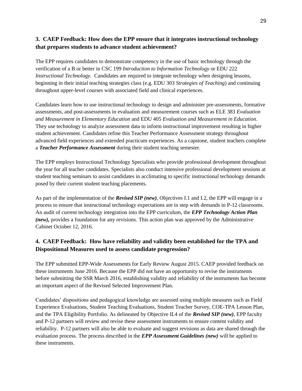#### **3. CAEP Feedback: How does the EPP ensure that it integrates instructional technology that prepares students to advance student achievement?**

The EPP requires candidates to demonstrate competency in the use of basic technology through the verification of a B or better in CSC 199 *Introduction to Information Technology* or EDU 222 *Instructional Technology*. Candidates are required to integrate technology when designing lessons, beginning in their initial teaching strategies class (e.g. EDU 303 *Strategies of Teaching*) and continuing throughout upper-level courses with associated field and clinical experiences.

Candidates learn how to use instructional technology to design and administer pre-assessments, formative assessments, and post-assessments in evaluation and measurement courses such as ELE 383 *Evaluation and Measurement in Elementary Education* and EDU 405 *Evaluation and Measurement in Education*. They use technology to analyze assessment data to inform instructional improvement resulting in higher student achievement. Candidates refine this Teacher Performance Assessment strategy throughout advanced field experiences and extended practicum experiences. As a capstone, student teachers complete a *Teacher Performance Assessment* during their student teaching semester.

The EPP employs Instructional Technology Specialists who provide professional development throughout the year for all teacher candidates. Specialists also conduct intensive professional development sessions at student teaching seminars to assist candidates in acclimating to specific instructional technology demands posed by their current student teaching placements.

As part of the implementation of the *Revised SIP (new)*, Objectives I.1 and I.2, the EPP will engage in a process to ensure that instructional technology expectations are in step with demands in P-12 classrooms. An audit of current technology integration into the EPP curriculum, the *EPP Technology Action Plan (new),* provides a foundation for any revisions. This action plan was approved by the Administrative Cabinet October 12, 2016.

### **4. CAEP Feedback: How have reliability and validity been established for the TPA and Dispositional Measures used to assess candidate progression?**

The EPP submitted EPP-Wide Assessments for Early Review August 2015. CAEP provided feedback on these instruments June 2016. Because the EPP did not have an opportunity to revise the instruments before submitting the SSR March 2016, establishing validity and reliability of the instruments has become an important aspect of the Revised Selected Improvement Plan.

Candidates' dispositions and pedagogical knowledge are assessed using multiple measures such as Field Experience Evaluations, Student Teaching Evaluations, Student Teacher Survey, COE-TPA Lesson Plan, and the TPA Eligibility Portfolio. As delineated by Objective II.4 of the *Revised SIP (new)*, EPP faculty and P-12 partners will review and revise these assessment instruments to ensure content validity and reliability. P-12 partners will also be able to evaluate and suggest revisions as data are shared through the evaluation process. The process described in the *EPP Assessment Guidelines (new)* will be applied to these instruments.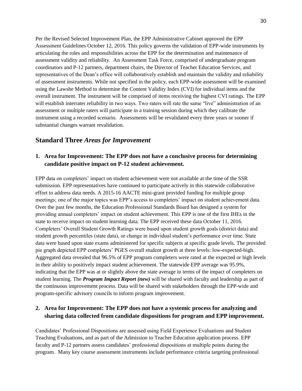Per the Revised Selected Improvement Plan, the EPP Administrative Cabinet approved the EPP Assessment Guidelines October 12, 2016. This policy governs the validation of EPP-wide instruments by articulating the roles and responsibilities across the EPP for the determination and maintenance of assessment validity and reliability. An Assessment Task Force, comprised of undergraduate program coordinators and P-12 partners, department chairs, the Director of Teacher Education Services, and representatives of the Dean's office will collaboratively establish and maintain the validity and reliability of assessment instruments. While not specified in the policy, each EPP-wide assessment will be examined using the Lawshe Method to determine the Content Validity Index (CVI) for individual items and the overall instrument. The instrument will be comprised of items receiving the highest CVI ratings. The EPP will establish interrater reliability in two ways. Two raters will rate the same "live" administration of an assessment or multiple raters will participate in a training session during which they calibrate the instrument using a recorded scenario. Assessments will be revalidated every three years or sooner if substantial changes warrant revalidation.

#### **Standard Three** *Areas for Improvement*

#### **1. Area for Improvement: The EPP does not have a conclusive process for determining candidate positive impact on P-12 student achievement.**

EPP data on completers' impact on student achievement were not available at the time of the SSR submission. EPP representatives have continued to participate actively in this statewide collaborative effort to address data needs. A 2015-16 AACTE mini-grant provided funding for multiple group meetings; one of the major topics was EPP's access to completers' impact on student achievement data. Over the past few months, the Education Professional Standards Board has designed a system for providing annual completers' impact on student achievement. This EPP is one of the first IHEs in the state to receive impact on student learning data. The EPP received these data October 11, 2016. Completers' Overall Student Growth Ratings were based upon student growth goals (district data) and student growth percentiles (state data), or change in individual student's performance over time. State data were based upon state exams administered for specific subjects at specific grade levels. The provided pie graph depicted EPP completers' PGES overall student growth at three levels: low-expected-high. Aggregated data revealed that 96.5% of EPP program completers were rated at the expected or high levels in their ability to positively impact student achievement. The statewide EPP average was 95.9%, indicating that the EPP was at or slightly above the state average in terms of the impact of completers on student learning. The *Program Impact Report (new)* will be shared with faculty and leadership as part of the continuous improvement process. Data will be shared with stakeholders through the EPP-wide and program-specific advisory councils to inform program improvement.

#### **2. Area for Improvement: The EPP does not have a systemic process for analyzing and sharing data collected from candidate dispositions for program and EPP improvement.**

Candidates' Professional Dispositions are assessed using Field Experience Evaluations and Student Teaching Evaluations, and as part of the Admission to Teacher Education application process. EPP faculty and P-12 partners assess candidates' professional dispositions at multiple points during the program. Many key course assessment instruments include performance criteria targeting professional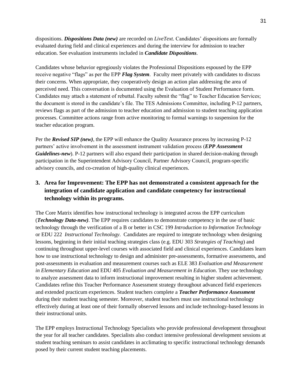dispositions. *Dispositions Data (new)* are recorded on *LiveText.* Candidates' dispositions are formally evaluated during field and clinical experiences and during the interview for admission to teacher education. See evaluation instruments included in *Candidate Dispositions*.

Candidates whose behavior egregiously violates the Professional Dispositions espoused by the EPP receive negative "flags" as per the EPP *Flag System*. Faculty meet privately with candidates to discuss their concerns. When appropriate, they cooperatively design an action plan addressing the area of perceived need. This conversation is documented using the Evaluation of Student Performance form. Candidates may attach a statement of rebuttal. Faculty submit the "flag" to Teacher Education Services; the document is stored in the candidate's file. The TES Admissions Committee, including P-12 partners, reviews flags as part of the admission to teacher education and admission to student teaching application processes. Committee actions range from active monitoring to formal warnings to suspension for the teacher education program.

Per the *Revised SIP (new)*, the EPP will enhance the Quality Assurance process by increasing P-12 partners' active involvement in the assessment instrument validation process (*EPP Assessment Guidelines-new*). P-12 partners will also expand their participation in shared decision-making through participation in the Superintendent Advisory Council, Partner Advisory Council, program-specific advisory councils, and co-creation of high-quality clinical experiences.

### **3. Area for Improvement: The EPP has not demonstrated a consistent approach for the integration of candidate application and candidate competency for instructional technology within its programs.**

The Core Matrix identifies how instructional technology is integrated across the EPP curriculum (*Technology Data-new)*. The EPP requires candidates to demonstrate competency in the use of basic technology through the verification of a B or better in CSC 199 *Introduction to Information Technology* or EDU 222 *Instructional Technology*. Candidates are required to integrate technology when designing lessons, beginning in their initial teaching strategies class (e.g. EDU 303 *Strategies of Teaching*) and continuing throughout upper-level courses with associated field and clinical experiences. Candidates learn how to use instructional technology to design and administer pre-assessments, formative assessments, and post-assessments in evaluation and measurement courses such as ELE 383 *Evaluation and Measurement in Elementary Education* and EDU 405 *Evaluation and Measurement in Education*. They use technology to analyze assessment data to inform instructional improvement resulting in higher student achievement. Candidates refine this Teacher Performance Assessment strategy throughout advanced field experiences and extended practicum experiences. Student teachers complete a *Teacher Performance Assessment* during their student teaching semester. Moreover, student teachers must use instructional technology effectively during at least one of their formally observed lessons and include technology-based lessons in their instructional units.

The EPP employs Instructional Technology Specialists who provide professional development throughout the year for all teacher candidates. Specialists also conduct intensive professional development sessions at student teaching seminars to assist candidates in acclimating to specific instructional technology demands posed by their current student teaching placements.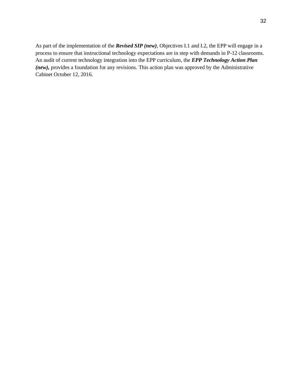As part of the implementation of the *Revised SIP (new)*, Objectives I.1 and I.2, the EPP will engage in a process to ensure that instructional technology expectations are in step with demands in P-12 classrooms. An audit of current technology integration into the EPP curriculum, the *EPP Technology Action Plan (new),* provides a foundation for any revisions. This action plan was approved by the Administrative Cabinet October 12, 2016.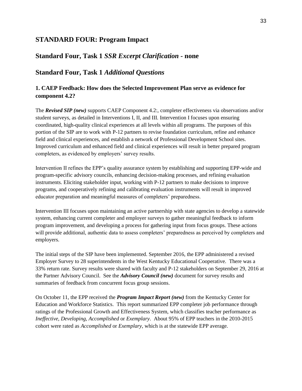#### **STANDARD FOUR: Program Impact**

### **Standard Four, Task 1** *SSR Excerpt Clarification -* **none**

#### **Standard Four, Task 1** *Additional Questions*

#### **1. CAEP Feedback: How does the Selected Improvement Plan serve as evidence for component 4.2?**

The *Revised SIP (new)* supports CAEP Component 4.2:, completer effectiveness via observations and/or student surveys, as detailed in Interventions I, II, and III. Intervention I focuses upon ensuring coordinated, high-quality clinical experiences at all levels within all programs. The purposes of this portion of the SIP are to work with P-12 partners to revise foundation curriculum, refine and enhance field and clinical experiences, and establish a network of Professional Development School sites. Improved curriculum and enhanced field and clinical experiences will result in better prepared program completers, as evidenced by employers' survey results.

Intervention II refines the EPP's quality assurance system by establishing and supporting EPP-wide and program-specific advisory councils, enhancing decision-making processes, and refining evaluation instruments. Eliciting stakeholder input, working with P-12 partners to make decisions to improve programs, and cooperatively refining and calibrating evaluation instruments will result in improved educator preparation and meaningful measures of completers' preparedness.

Intervention III focuses upon maintaining an active partnership with state agencies to develop a statewide system, enhancing current completer and employer surveys to gather meaningful feedback to inform program improvement, and developing a process for gathering input from focus groups. These actions will provide additional, authentic data to assess completers' preparedness as perceived by completers and employers.

The initial steps of the SIP have been implemented. September 2016, the EPP administered a revised Employer Survey to 28 superintendents in the West Kentucky Educational Cooperative. There was a 33% return rate. Survey results were shared with faculty and P-12 stakeholders on September 29, 2016 at the Partner Advisory Council. See the *Advisory Council (new)* document for survey results and summaries of feedback from concurrent focus group sessions.

On October 11, the EPP received the *Program Impact Report (new)* from the Kentucky Center for Education and Workforce Statistics. This report summarized EPP completer job performance through ratings of the Professional Growth and Effectiveness System, which classifies teacher performance as *Ineffective*, *Developing*, *Accomplished* or *Exemplary*. About 95% of EPP teachers in the 2010-2015 cohort were rated as *Accomplished* or *Exemplary*, which is at the statewide EPP average.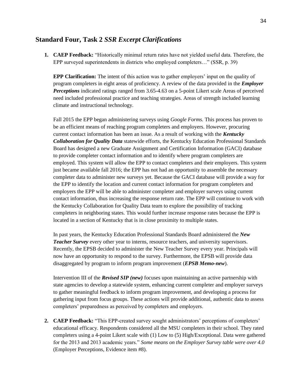#### **Standard Four, Task 2** *SSR Excerpt Clarifications*

**1. CAEP Feedback:** "Historically minimal return rates have not yielded useful data. Therefore, the EPP surveyed superintendents in districts who employed completers…" (SSR, p. 39)

**EPP Clarification:** The intent of this action was to gather employers' input on the quality of program completers in eight areas of proficiency. A review of the data provided in the *Employer Perceptions* indicated ratings ranged from 3.65-4.63 on a 5-point Likert scale Areas of perceived need included professional practice and teaching strategies. Areas of strength included learning climate and instructional technology.

Fall 2015 the EPP began administering surveys using *Google Forms.* This process has proven to be an efficient means of reaching program completers and employers. However, procuring current contact information has been an issue. As a result of working with the *Kentucky Collaboration for Quality Data* statewide efforts, the Kentucky Education Professional Standards Board has designed a new Graduate Assignment and Certification Information (GACI) database to provide completer contact information and to identify where program completers are employed. This system will allow the EPP to contact completers and their employers. This system just became available fall 2016; the EPP has not had an opportunity to assemble the necessary completer data to administer new surveys yet. Because the GACI database will provide a way for the EPP to identify the location and current contact information for program completers and employers the EPP will be able to administer completer and employer surveys using current contact information, thus increasing the response return rate. The EPP will continue to work with the Kentucky Collaboration for Quality Data team to explore the possibility of tracking completers in neighboring states. This would further increase response rates because the EPP is located in a section of Kentucky that is in close proximity to multiple states.

In past years, the Kentucky Education Professional Standards Board administered the *New Teacher Survey* every other year to interns, resource teachers, and university supervisors. Recently, the EPSB decided to administer the New Teacher Survey every year. Principals will now have an opportunity to respond to the survey. Furthermore, the EPSB will provide data disaggregated by program to inform program improvement (*EPSB Memo-new*).

Intervention III of the *Revised SIP (new)* focuses upon maintaining an active partnership with state agencies to develop a statewide system, enhancing current completer and employer surveys to gather meaningful feedback to inform program improvement, and developing a process for gathering input from focus groups. These actions will provide additional, authentic data to assess completers' preparedness as perceived by completers and employers.

**2. CAEP Feedback:** "This EPP-created survey sought administrators' perceptions of completers' educational efficacy. Respondents considered all the MSU completers in their school. They rated completers using a 4-point Likert scale with (1) Low to (5) High/Exceptional. Data were gathered for the 2013 and 2013 academic years." *Some means on the Employer Survey table were over 4.0*  (Employer Perceptions, Evidence item #8).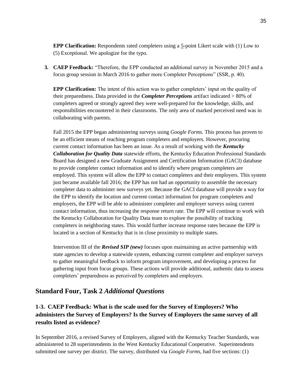**EPP Clarification:** Respondents rated completers using a 5-point Likert scale with (1) Low to (5) Exceptional. We apologize for the typo.

**3. CAEP Feedback:** "Therefore, the EPP conducted an additional survey in November 2015 and a focus group session in March 2016 to gather more Completer Perceptions" (SSR, p. 40).

**EPP Clarification:** The intent of this action was to gather completers' input on the quality of their preparedness. Data provided in the *Completer Perceptions* artifact indicated > 80% of completers agreed or strongly agreed they were well-prepared for the knowledge, skills, and responsibilities encountered in their classrooms. The only area of marked perceived need was in collaborating with parents.

Fall 2015 the EPP began administering surveys using *Google Forms.* This process has proven to be an efficient means of reaching program completers and employers. However, procuring current contact information has been an issue. As a result of working with the *Kentucky Collaboration for Quality Data* statewide efforts, the Kentucky Education Professional Standards Board has designed a new Graduate Assignment and Certification Information (GACI) database to provide completer contact information and to identify where program completers are employed. This system will allow the EPP to contact completers and their employers. This system just became available fall 2016; the EPP has not had an opportunity to assemble the necessary completer data to administer new surveys yet. Because the GACI database will provide a way for the EPP to identify the location and current contact information for program completers and employers, the EPP will be able to administer completer and employer surveys using current contact information, thus increasing the response return rate. The EPP will continue to work with the Kentucky Collaboration for Quality Data team to explore the possibility of tracking completers in neighboring states. This would further increase response rates because the EPP is located in a section of Kentucky that is in close proximity to multiple states.

Intervention III of the *Revised SIP (new)* focuses upon maintaining an active partnership with state agencies to develop a statewide system, enhancing current completer and employer surveys to gather meaningful feedback to inform program improvement, and developing a process for gathering input from focus groups. These actions will provide additional, authentic data to assess completers' preparedness as perceived by completers and employers.

#### **Standard Four, Task 2** *Additional Questions*

### **1-3. CAEP Feedback: What is the scale used for the Survey of Employers? Who administers the Survey of Employers? Is the Survey of Employers the same survey of all results listed as evidence?**

In September 2016, a revised Survey of Employers, aligned with the Kentucky Teacher Standards, was administered to 28 superintendents in the West Kentucky Educational Cooperative. Superintendents submitted one survey per district. The survey, distributed via *Google Forms*, had five sections: (1)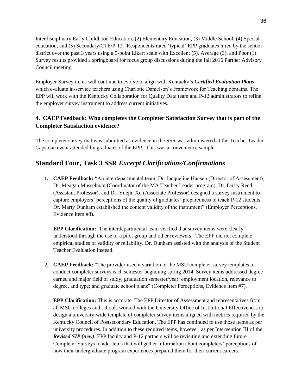Interdisciplinary Early Childhood Education, (2) Elementary Education, (3) Middle School, (4) Special education, and (5) Secondary/CTE/P-12. Respondents rated 'typical' EPP graduates hired by the school district over the past 3 years using a 5-point Likert scale with Excellent (5), Average (3), and Poor (1). Survey results provided a springboard for focus group discussions during the fall 2016 Partner Advisory Council meeting.

Employer Survey items will continue to evolve to align with Kentucky's *Certified Evaluation Plans* which evaluate in-service teachers using Charlotte Danielson's Framework for Teaching domains. The EPP will work with the Kentucky Collaboration for Quality Data team and P-12 administrators to refine the employer survey instrument to address current initiatives.

## **4. CAEP Feedback: Who completes the Completer Satisfaction Survey that is part of the Completer Satisfaction evidence?**

The completer survey that was submitted as evidence in the SSR was administered at the Teacher Leader Capstone event attended by graduates of the EPP. This was a convenience sample.

## **Standard Four, Task 3 SSR** *Excerpt Clarifications/Confirmations*

**1. CAEP Feedback:** "An interdepartmental team, Dr. Jacqueline Hansen (Director of Assessment), Dr. Meagan Musselman (Coordinator of the MA Teacher Leader program), Dr. Dusty Reed (Assistant Professor), and Dr. Yuejin Xu (Associate Professor) designed a survey instrument to capture employers' perceptions of the quality of graduates' preparedness to teach P-12 students. Dr. Marty Dunham established the content validity of the instrument" (Employer Perceptions, Evidence item #8).

**EPP Clarification:** The interdepartmental team verified that survey items were clearly understood through the use of a pilot group and other reviewers. The EPP did not complete empirical studies of validity or reliability. Dr. Dunham assisted with the analysis of the Student Teacher Evaluation instead.

**2. CAEP Feedback:** "The provider used a variation of the MSU completer survey templates to conduct completer surveys each semester beginning spring 2014. Survey items addressed degree earned and major field of study; graduation semester/year; employment location, relevance to degree, and type; and graduate school plans" (Completer Perceptions, Evidence item #7).

**EPP Clarification:** This is accurate. The EPP Director of Assessment and representatives from all MSU colleges and schools worked with the University Office of Institutional Effectiveness to design a university-wide template of completer survey items aligned with metrics required by the Kentucky Council of Postsecondary Education. The EPP has continued to use those items as per university procedures. In addition to these required items, however, as per Intervention III of the *Revised SIP (new)*, EPP faculty and P-12 partners will be revisiting and extending future Completer Surveys to add items that will gather information about completers' perceptions of how their undergraduate program experiences prepared them for their current careers.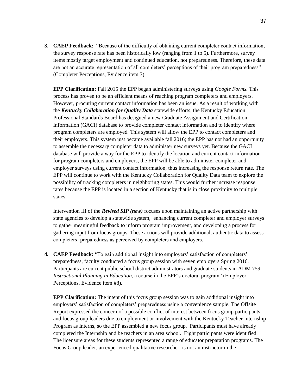**3. CAEP Feedback:** "Because of the difficulty of obtaining current completer contact information, the survey response rate has been historically low (ranging from 1 to 5). Furthermore, survey items mostly target employment and continued education, not preparedness. Therefore, these data are not an accurate representation of all completers' perceptions of their program preparedness" (Completer Perceptions, Evidence item 7).

**EPP Clarification:** Fall 2015 the EPP began administering surveys using *Google Forms.* This process has proven to be an efficient means of reaching program completers and employers. However, procuring current contact information has been an issue. As a result of working with the *Kentucky Collaboration for Quality Data* statewide efforts, the Kentucky Education Professional Standards Board has designed a new Graduate Assignment and Certification Information (GACI) database to provide completer contact information and to identify where program completers are employed. This system will allow the EPP to contact completers and their employers. This system just became available fall 2016; the EPP has not had an opportunity to assemble the necessary completer data to administer new surveys yet. Because the GACI database will provide a way for the EPP to identify the location and current contact information for program completers and employers, the EPP will be able to administer completer and employer surveys using current contact information, thus increasing the response return rate. The EPP will continue to work with the Kentucky Collaboration for Quality Data team to explore the possibility of tracking completers in neighboring states. This would further increase response rates because the EPP is located in a section of Kentucky that is in close proximity to multiple states.

Intervention III of the *Revised SIP (new)* focuses upon maintaining an active partnership with state agencies to develop a statewide system, enhancing current completer and employer surveys to gather meaningful feedback to inform program improvement, and developing a process for gathering input from focus groups. These actions will provide additional, authentic data to assess completers' preparedness as perceived by completers and employers.

**4. CAEP Feedback:** "To gain additional insight into employers' satisfaction of completers' preparedness, faculty conducted a focus group session with seven employers Spring 2016. Participants are current public school district administrators and graduate students in ADM 759 *Instructional Planning in Education*, a course in the EPP's doctoral program" (Employer Perceptions, Evidence item #8).

**EPP Clarification:** The intent of this focus group session was to gain additional insight into employers' satisfaction of completers' preparedness using a convenience sample. The Offsite Report expressed the concern of a possible conflict of interest between focus group participants and focus group leaders due to employment or involvement with the Kentucky Teacher Internship Program as Interns, so the EPP assembled a new focus group. Participants must have already completed the Internship and be teachers in an area school. Eight participants were identified. The licensure areas for these students represented a range of educator preparation programs. The Focus Group leader, an experienced qualitative researcher, is not an instructor in the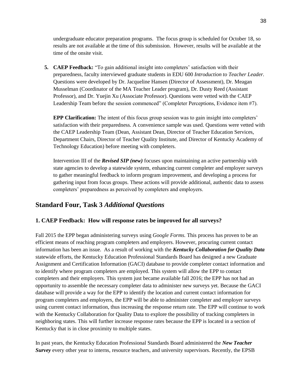undergraduate educator preparation programs. The focus group is scheduled for October 18, so results are not available at the time of this submission. However, results will be available at the time of the onsite visit.

**5. CAEP Feedback:** "To gain additional insight into completers' satisfaction with their preparedness, faculty interviewed graduate students in EDU 600 *Introduction to Teacher Leader.*  Questions were developed by Dr. Jacqueline Hansen (Director of Assessment), Dr. Meagan Musselman (Coordinator of the MA Teacher Leader program), Dr. Dusty Reed (Assistant Professor), and Dr. Yuejin Xu (Associate Professor). Questions were vetted with the CAEP Leadership Team before the session commenced" (Completer Perceptions, Evidence item #7).

**EPP Clarification:** The intent of this focus group session was to gain insight into completers' satisfaction with their preparedness. A convenience sample was used. Questions were vetted with the CAEP Leadership Team (Dean, Assistant Dean, Director of Teacher Education Services, Department Chairs, Director of Teacher Quality Institute, and Director of Kentucky Academy of Technology Education) before meeting with completers.

Intervention III of the *Revised SIP (new)* focuses upon maintaining an active partnership with state agencies to develop a statewide system, enhancing current completer and employer surveys to gather meaningful feedback to inform program improvement, and developing a process for gathering input from focus groups. These actions will provide additional, authentic data to assess completers' preparedness as perceived by completers and employers.

## **Standard Four, Task 3** *Additional Questions*

#### **1. CAEP Feedback: How will response rates be improved for all surveys?**

Fall 2015 the EPP began administering surveys using *Google Forms.* This process has proven to be an efficient means of reaching program completers and employers. However, procuring current contact information has been an issue. As a result of working with the *Kentucky Collaboration for Quality Data*  statewide efforts, the Kentucky Education Professional Standards Board has designed a new Graduate Assignment and Certification Information (GACI) database to provide completer contact information and to identify where program completers are employed. This system will allow the EPP to contact completers and their employers. This system just became available fall 2016; the EPP has not had an opportunity to assemble the necessary completer data to administer new surveys yet. Because the GACI database will provide a way for the EPP to identify the location and current contact information for program completers and employers, the EPP will be able to administer completer and employer surveys using current contact information, thus increasing the response return rate. The EPP will continue to work with the Kentucky Collaboration for Quality Data to explore the possibility of tracking completers in neighboring states. This will further increase response rates because the EPP is located in a section of Kentucky that is in close proximity to multiple states.

In past years, the Kentucky Education Professional Standards Board administered the *New Teacher Survey* every other year to interns, resource teachers, and university supervisors. Recently, the EPSB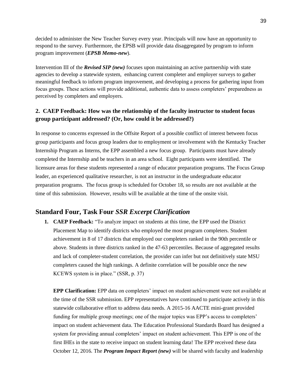decided to administer the New Teacher Survey every year. Principals will now have an opportunity to respond to the survey. Furthermore, the EPSB will provide data disaggregated by program to inform program improvement (*EPSB Memo-new*).

Intervention III of the *Revised SIP (new)* focuses upon maintaining an active partnership with state agencies to develop a statewide system, enhancing current completer and employer surveys to gather meaningful feedback to inform program improvement, and developing a process for gathering input from focus groups. These actions will provide additional, authentic data to assess completers' preparedness as perceived by completers and employers.

#### **2. CAEP Feedback: How was the relationship of the faculty instructor to student focus group participant addressed? (Or, how could it be addressed?)**

In response to concerns expressed in the Offsite Report of a possible conflict of interest between focus group participants and focus group leaders due to employment or involvement with the Kentucky Teacher Internship Program as Interns, the EPP assembled a new focus group. Participants must have already completed the Internship and be teachers in an area school. Eight participants were identified. The licensure areas for these students represented a range of educator preparation programs. The Focus Group leader, an experienced qualitative researcher, is not an instructor in the undergraduate educator preparation programs. The focus group is scheduled for October 18, so results are not available at the time of this submission. However, results will be available at the time of the onsite visit.

#### **Standard Four, Task Four** *SSR Excerpt Clarification*

**1. CAEP Feedback:** "To analyze impact on students at this time, the EPP used the District Placement Map to identify districts who employed the most program completers. Student achievement in 8 of 17 districts that employed our completers ranked in the 90th percentile or above. Students in three districts ranked in the 47-63 percentiles. Because of aggregated results and lack of completer-student correlation, the provider can infer but not definitively state MSU completers caused the high rankings. A definite correlation will be possible once the new KCEWS system is in place." (SSR, p. 37)

**EPP Clarification:** EPP data on completers' impact on student achievement were not available at the time of the SSR submission. EPP representatives have continued to participate actively in this statewide collaborative effort to address data needs. A 2015-16 AACTE mini-grant provided funding for multiple group meetings; one of the major topics was EPP's access to completers' impact on student achievement data. The Education Professional Standards Board has designed a system for providing annual completers' impact on student achievement. This EPP is one of the first IHEs in the state to receive impact on student learning data! The EPP received these data October 12, 2016. The *Program Impact Report (new)* will be shared with faculty and leadership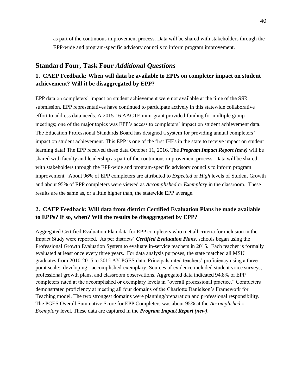as part of the continuous improvement process. Data will be shared with stakeholders through the EPP-wide and program-specific advisory councils to inform program improvement.

#### **Standard Four, Task Four** *Additional Questions*

### **1. CAEP Feedback: When will data be available to EPPs on completer impact on student achievement? Will it be disaggregated by EPP?**

EPP data on completers' impact on student achievement were not available at the time of the SSR submission. EPP representatives have continued to participate actively in this statewide collaborative effort to address data needs. A 2015-16 AACTE mini-grant provided funding for multiple group meetings; one of the major topics was EPP's access to completers' impact on student achievement data. The Education Professional Standards Board has designed a system for providing annual completers' impact on student achievement. This EPP is one of the first IHEs in the state to receive impact on student learning data! The EPP received these data October 11, 2016. The *Program Impact Report (new)* will be shared with faculty and leadership as part of the continuous improvement process. Data will be shared with stakeholders through the EPP-wide and program-specific advisory councils to inform program improvement. About 96% of EPP completers are attributed to *Expected* or *High* levels of Student Growth and about 95% of EPP completers were viewed as *Accomplished* or *Exemplary* in the classroom. These results are the same as, or a little higher than, the statewide EPP average.

### **2. CAEP Feedback: Will data from district Certified Evaluation Plans be made available to EPPs? If so, when? Will the results be disaggregated by EPP?**

Aggregated Certified Evaluation Plan data for EPP completers who met all criteria for inclusion in the Impact Study were reported. As per districts' *Certified Evaluation Plans*, schools began using the Professional Growth Evaluation System to evaluate in-service teachers in 2015. Each teacher is formally evaluated at least once every three years. For data analysis purposes, the state matched all MSU graduates from 2010-2015 to 2015 AY PGES data. Principals rated teachers' proficiency using a threepoint scale: developing - accomplished-exemplary. Sources of evidence included student voice surveys, professional growth plans, and classroom observations. Aggregated data indicated 94.8% of EPP completers rated at the accomplished or exemplary levels in "overall professional practice." Completers demonstrated proficiency at meeting all four domains of the Charlotte Danielson's Framework for Teaching model. The two strongest domains were planning/preparation and professional responsibility. The PGES Overall Summative Score for EPP Completers was about 95% at the *Accomplished* or *Exemplary* level. These data are captured in the *Program Impact Report (new)*.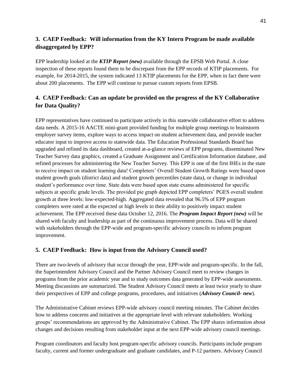### **3. CAEP Feedback: Will information from the KY Intern Program be made available disaggregated by EPP?**

EPP leadership looked at the *KTIP Report (new)* available through the EPSB Web Portal. A close inspection of these reports found them to be discrepant from the EPP records of KTIP placements. For example, for 2014-2015, the system indicated 13 KTIP placements for the EPP, when in fact there were about 200 placements. The EPP will continue to pursue custom reports from EPSB.

## **4. CAEP Feedback: Can an update be provided on the progress of the KY Collaborative for Data Quality?**

EPP representatives have continued to participate actively in this statewide collaborative effort to address data needs. A 2015-16 AACTE mini-grant provided funding for multiple group meetings to brainstorm employer survey items, explore ways to access impact on student achievement data, and provide teacher educator input to improve access to statewide data. The Education Professional Standards Board has upgraded and refined its data dashboard, created at-a-glance reviews of EPP programs, disseminated New Teacher Survey data graphics, created a Graduate Assignment and Certification Information database, and refined processes for administering the New Teacher Survey. This EPP is one of the first IHEs in the state to receive impact on student learning data! Completers' Overall Student Growth Ratings were based upon student growth goals (district data) and student growth percentiles (state data), or change in individual student's performance over time. State data were based upon state exams administered for specific subjects at specific grade levels. The provided pie graph depicted EPP completers' PGES overall student growth at three levels: low-expected-high. Aggregated data revealed that 96.5% of EPP program completers were rated at the expected or high levels in their ability to positively impact student achievement. The EPP received these data October 12, 2016. The *Program Impact Report (new)* will be shared with faculty and leadership as part of the continuous improvement process. Data will be shared with stakeholders through the EPP-wide and program-specific advisory councils to inform program improvement.

#### **5. CAEP Feedback: How is input from the Advisory Council used?**

There are two-levels of advisory that occur through the year, EPP-wide and program-specific. In the fall, the Superintendent Advisory Council and the Partner Advisory Council meet to review changes in programs from the prior academic year and to study outcomes data generated by EPP-wide assessments. Meeting discussions are summarized. The Student Advisory Council meets at least twice yearly to share their perspectives of EPP and college programs, procedures, and initiatives (*Advisory Council- new*).

The Administrative Cabinet reviews EPP-wide advisory council meeting minutes. The Cabinet decides how to address concerns and initiatives at the appropriate level with relevant stakeholders. Working groups' recommendations are approved by the Administrative Cabinet. The EPP shares information about changes and decisions resulting from stakeholder input at the next EPP-wide advisory council meetings.

Program coordinators and faculty host program-specific advisory councils. Participants include program faculty, current and former undergraduate and graduate candidates, and P-12 partners. Advisory Council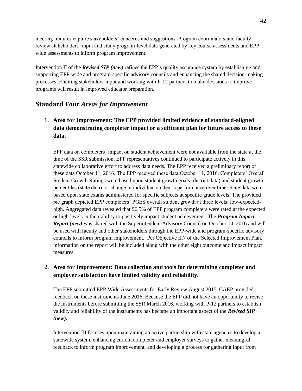meeting minutes capture stakeholders' concerns and suggestions. Program coordinators and faculty review stakeholders' input and study program-level data generated by key course assessments and EPPwide assessments to inform program improvement.

Intervention II of the *Revised SIP (new)* refines the EPP's quality assurance system by establishing and supporting EPP-wide and program-specific advisory councils and enhancing the shared decision-making processes. Eliciting stakeholder input and working with P-12 partners to make decisions to improve programs will result in improved educator preparation.

### **Standard Four** *Areas for Improvement*

**1. Area for Improvement: The EPP provided limited evidence of standard-aligned data demonstrating completer impact or a sufficient plan for future access to these data.**

EPP data on completers' impact on student achievement were not available from the state at the time of the SSR submission. EPP representatives continued to participate actively in this statewide collaborative effort to address data needs. The EPP received a preliminary report of these data October 11, 2016. The EPP received these data October 11, 2016. Completers' Overall Student Growth Ratings were based upon student growth goals (district data) and student growth percentiles (state data), or change in individual student's performance over time. State data were based upon state exams administered for specific subjects at specific grade levels. The provided pie graph depicted EPP completers' PGES overall student growth at three levels: low-expectedhigh. Aggregated data revealed that 96.5% of EPP program completers were rated at the expected or high levels in their ability to positively impact student achievement. The *Program Impact Report (new)* was shared with the Superintendent Advisory Council on October 14, 2016 and will be used with faculty and other stakeholders through the EPP-wide and program-specific advisory councils to inform program improvement.Per Objective II.7 of the Selected Improvement Plan, information on the report will be included along with the other eight outcome and impact impact measures.

### **2. Area for Improvement: Data collection and tools for determining completer and employer satisfaction have limited validity and reliability.**

The EPP submitted EPP-Wide Assessments for Early Review August 2015. CAEP provided feedback on these instruments June 2016. Because the EPP did not have an opportunity to revise the instruments before submitting the SSR March 2016, working with P-12 partners to establish validity and reliability of the instruments has become an important aspect of the *Revised SIP (new).*

Intervention III focuses upon maintaining an active partnership with state agencies to develop a statewide system, enhancing current completer and employer surveys to gather meaningful feedback to inform program improvement, and developing a process for gathering input from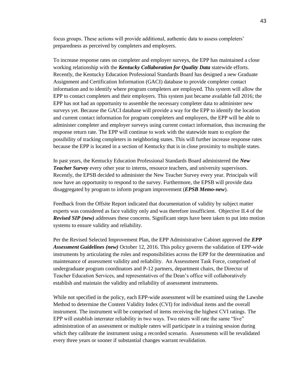focus groups. These actions will provide additional, authentic data to assess completers' preparedness as perceived by completers and employers.

To increase response rates on completer and employer surveys, the EPP has maintained a close working relationship with the *Kentucky Collaboration for Quality Data* statewide efforts. Recently, the Kentucky Education Professional Standards Board has designed a new Graduate Assignment and Certification Information (GACI) database to provide completer contact information and to identify where program completers are employed. This system will allow the EPP to contact completers and their employers. This system just became available fall 2016; the EPP has not had an opportunity to assemble the necessary completer data to administer new surveys yet. Because the GACI database will provide a way for the EPP to identify the location and current contact information for program completers and employers, the EPP will be able to administer completer and employer surveys using current contact information, thus increasing the response return rate. The EPP will continue to work with the statewide team to explore the possibility of tracking completers in neighboring states. This will further increase response rates because the EPP is located in a section of Kentucky that is in close proximity to multiple states.

In past years, the Kentucky Education Professional Standards Board administered the *New Teacher Survey* every other year to interns, resource teachers, and university supervisors. Recently, the EPSB decided to administer the New Teacher Survey every year. Principals will now have an opportunity to respond to the survey. Furthermore, the EPSB will provide data disaggregated by program to inform program improvement (*EPSB Memo-new*).

Feedback from the Offsite Report indicated that documentation of validity by subject matter experts was considered as face validity only and was therefore insufficient. Objective II.4 of the *Revised SIP (new)* addresses these concerns. Significant steps have been taken to put into motion systems to ensure validity and reliability.

Per the Revised Selected Improvement Plan, the EPP Administrative Cabinet approved the *EPP Assessment Guidelines (new)* October 12, 2016. This policy governs the validation of EPP-wide instruments by articulating the roles and responsibilities across the EPP for the determination and maintenance of assessment validity and reliability. An Assessment Task Force, comprised of undergraduate program coordinators and P-12 partners, department chairs, the Director of Teacher Education Services, and representatives of the Dean's office will collaboratively establish and maintain the validity and reliability of assessment instruments.

While not specified in the policy, each EPP-wide assessment will be examined using the Lawshe Method to determine the Content Validity Index (CVI) for individual items and the overall instrument. The instrument will be comprised of items receiving the highest CVI ratings. The EPP will establish interrater reliability in two ways. Two raters will rate the same "live" administration of an assessment or multiple raters will participate in a training session during which they calibrate the instrument using a recorded scenario. Assessments will be revalidated every three years or sooner if substantial changes warrant revalidation.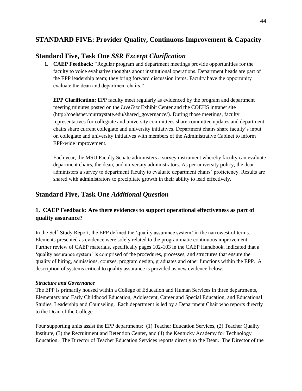## **STANDARD FIVE: Provider Quality, Continuous Improvement & Capacity**

## **Standard Five, Task One** *SSR Excerpt Clarification*

**1. CAEP Feedback:** "Regular program and department meetings provide opportunities for the faculty to voice evaluative thoughts about institutional operations. Department heads are part of the EPP leadership team; they bring forward discussion items. Faculty have the opportunity evaluate the dean and department chairs."

**EPP Clarification:** EPP faculty meet regularly as evidenced by the program and department meeting minutes posted on the *LiveText* Exhibit Center and the COEHS intranet site [\(http://coehsnet.murraystate.edu/shared\\_governance/\)](http://coehsnet.murraystate.edu/shared_governance/). During those meetings, faculty representatives for collegiate and university committees share committee updates and department chairs share current collegiate and university initiatives. Department chairs share faculty's input on collegiate and university initiatives with members of the Administrative Cabinet to inform EPP-wide improvement.

Each year, the MSU Faculty Senate administers a survey instrument whereby faculty can evaluate department chairs, the dean, and university administrators. As per university policy, the dean administers a survey to department faculty to evaluate department chairs' proficiency. Results are shared with administrators to precipitate growth in their ability to lead effectively.

## **Standard Five, Task One** *Additional Question*

### **1. CAEP Feedback: Are there evidences to support operational effectiveness as part of quality assurance?**

In the Self-Study Report, the EPP defined the 'quality assurance system' in the narrowest of terms. Elements presented as evidence were solely related to the programmatic continuous improvement. Further review of CAEP materials, specifically pages 102-103 in the CAEP Handbook, indicated that a 'quality assurance system' is comprised of the procedures, processes, and structures that ensure the quality of hiring, admissions, courses, program design, graduates and other functions within the EPP. A description of systems critical to quality assurance is provided as new evidence below.

#### *Structure and Governance*

The EPP is primarily housed within a College of Education and Human Services in three departments, Elementary and Early Childhood Education, Adolescent, Career and Special Education, and Educational Studies, Leadership and Counseling. Each department is led by a Department Chair who reports directly to the Dean of the College.

Four supporting units assist the EPP departments: (1) Teacher Education Services, (2) Teacher Quality Institute, (3) the Recruitment and Retention Center, and (4) the Kentucky Academy for Technology Education. The Director of Teacher Education Services reports directly to the Dean. The Director of the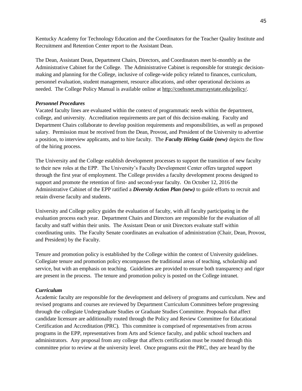Kentucky Academy for Technology Education and the Coordinators for the Teacher Quality Institute and Recruitment and Retention Center report to the Assistant Dean.

The Dean, Assistant Dean, Department Chairs, Directors, and Coordinators meet bi-monthly as the Administrative Cabinet for the College. The Administrative Cabinet is responsible for strategic decisionmaking and planning for the College, inclusive of college-wide policy related to finances, curriculum, personnel evaluation, student management, resource allocations, and other operational decisions as needed. The College Policy Manual is available online at [http://coehsnet.murraystate.edu/policy/.](http://coehsnet.murraystate.edu/policy/)

#### *Personnel Procedures*

Vacated faculty lines are evaluated within the context of programmatic needs within the department, college, and university. Accreditation requirements are part of this decision-making. Faculty and Department Chairs collaborate to develop position requirements and responsibilities, as well as proposed salary. Permission must be received from the Dean, Provost, and President of the University to advertise a position, to interview applicants, and to hire faculty. The *Faculty Hiring Guide (new)* depicts the flow of the hiring process.

The University and the College establish development processes to support the transition of new faculty to their new roles at the EPP. The University's Faculty Development Center offers targeted support through the first year of employment. The College provides a faculty development process designed to support and promote the retention of first- and second-year faculty. On October 12, 2016 the Administrative Cabinet of the EPP ratified a *Diversity Action Plan (new)* to guide efforts to recruit and retain diverse faculty and students.

University and College policy guides the evaluation of faculty, with all faculty participating in the evaluation process each year. Department Chairs and Directors are responsible for the evaluation of all faculty and staff within their units. The Assistant Dean or unit Directors evaluate staff within coordinating units. The Faculty Senate coordinates an evaluation of administration (Chair, Dean, Provost, and President) by the Faculty.

Tenure and promotion policy is established by the College within the context of University guidelines. Collegiate tenure and promotion policy encompasses the traditional areas of teaching, scholarship and service, but with an emphasis on teaching. Guidelines are provided to ensure both transparency and rigor are present in the process. The tenure and promotion policy is posted on the College intranet.

#### *Curriculum*

Academic faculty are responsible for the development and delivery of programs and curriculum. New and revised programs and courses are reviewed by Department Curriculum Committees before progressing through the collegiate Undergraduate Studies or Graduate Studies Committee. Proposals that affect candidate licensure are additionally routed through the Policy and Review Committee for Educational Certification and Accreditation (PRC). This committee is comprised of representatives from across programs in the EPP, representatives from Arts and Science faculty, and public school teachers and administrators. Any proposal from any college that affects certification must be routed through this committee prior to review at the university level. Once programs exit the PRC, they are heard by the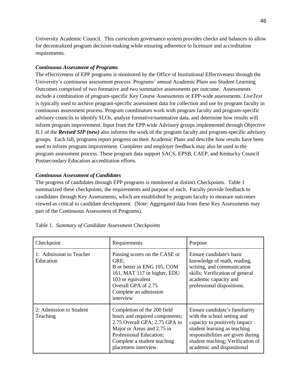University Academic Council. This curriculum governance system provides checks and balances to allow for decentralized program decision-making while ensuring adherence to licensure and accreditation requirements.

#### *Continuous Assessment of Programs*

The effectiveness of EPP programs is monitored by the Office of Institutional Effectiveness through the University's continuous assessment process. Programs' annual Academic Plans use Student Learning Outcomes comprised of two formative and two summative assessments per outcome. Assessments include a combination of program-specific Key Course Assessments or EPP-wide assessments. *LiveText* is typically used to archive program-specific assessment data for collection and use by program faculty in continuous assessment process. Program coordinators work with program faculty and program-specific advisory councils to identify SLOs, analyze formative/summative data, and determine how results will inform program improvement. Input from the EPP-wide Advisory groups implemented through Objective II.1 of the *Revised SIP (new)* also informs the work of the program faculty and program-specific advisory groups. Each fall, programs report progress on their Academic Plans and describe how results have been used to inform program improvement. Completer and employer feedback may also be used in the program assessment process. These program data support SACS, EPSB, CAEP, and Kentucky Council Postsecondary Education accreditation efforts.

#### *Continuous Assessment of Candidates*

The progress of candidates through EPP programs is monitored at distinct Checkpoints. Table 1 summarized these checkpoints, the requirements and purpose of each. Faculty provide feedback to candidates through Key Assessments, which are established by program faculty to measure outcomes viewed as critical to candidate development. (Note: Aggregated data from these Key Assessments may part of the Continuous Assessment of Programs).

| Checkpoint                           | Requirements                                                                                                                                                                                                   | Purpose                                                                                                                                                                                                                                |
|--------------------------------------|----------------------------------------------------------------------------------------------------------------------------------------------------------------------------------------------------------------|----------------------------------------------------------------------------------------------------------------------------------------------------------------------------------------------------------------------------------------|
| 1: Admission to Teacher<br>Education | Passing scores on the CASE or<br>GRE:<br>B or better in ENG 105, COM<br>161, MAT 117 or higher, EDU<br>103 or equivalent<br>Overall GPA of 2.75<br>Complete an admission<br>interview                          | Ensure candidate's basic<br>knowledge of math, reading,<br>writing, and communication<br>skills; Verification of general<br>academic capacity and<br>professional dispositions.                                                        |
| 2: Admission to Student<br>Teaching  | Completion of the 200 field<br>hours and required components;<br>2.75 Overall GPA; 2.75 GPA in<br>Major or Areas and 2.75 in<br>Professional Education;<br>Complete a student teaching<br>placement interview. | Ensure candidate's familiarity<br>with the school setting and<br>capacity to positively impact<br>student learning as teaching<br>responsibilities are given during<br>student teaching; Verification of<br>academic and dispositional |

#### Table 1. *Summary of Candidate Assessment Checkpoints*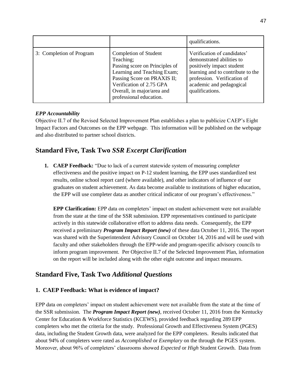|                          |                                                                                                                                                                                                                         | qualifications.                                                                                                                                                                                          |
|--------------------------|-------------------------------------------------------------------------------------------------------------------------------------------------------------------------------------------------------------------------|----------------------------------------------------------------------------------------------------------------------------------------------------------------------------------------------------------|
| 3: Completion of Program | Completion of Student<br>Teaching;<br>Passing score on Principles of<br>Learning and Teaching Exam;<br>Passing Score on PRAXIS II;<br>Verification of 2.75 GPA<br>Overall, in major/area and<br>professional education. | Verification of candidates'<br>demonstrated abilities to<br>positively impact student<br>learning and to contribute to the<br>profession. Verification of<br>academic and pedagogical<br>qualifications. |

#### *EPP Accountability*

Objective II.7 of the Revised Selected Improvement Plan establishes a plan to publicize CAEP's Eight Impact Factors and Outcomes on the EPP webpage. This information will be published on the webpage and also distributed to partner school districts.

## **Standard Five, Task Two** *SSR Excerpt Clarification*

**1. CAEP Feedback:** "Due to lack of a current statewide system of measuring completer effectiveness and the positive impact on P-12 student learning, the EPP uses standardized test results, online school report card (where available), and other indicators of influence of our graduates on student achievement. As data become available to institutions of higher education, the EPP will use completer data as another critical indicator of our program's effectiveness."

**EPP Clarification:** EPP data on completers' impact on student achievement were not available from the state at the time of the SSR submission. EPP representatives continued to participate actively in this statewide collaborative effort to address data needs. Consequently, the EPP received a preliminary *Program Impact Report (new)* of these data October 11, 2016. The report was shared with the Superintendent Advisory Council on October 14, 2016 and will be used with faculty and other stakeholders through the EPP-wide and program-specific advisory councils to inform program improvement.Per Objective II.7 of the Selected Improvement Plan, information on the report will be included along with the other eight outcome and impact measures.

### **Standard Five, Task Two** *Additional Questions*

#### **1. CAEP Feedback: What is evidence of impact?**

EPP data on completers' impact on student achievement were not available from the state at the time of the SSR submission. The *Program Impact Report (new)*, received October 11, 2016 from the Kentucky Center for Education & Workforce Statistics (KCEWS), provided feedback regarding 289 EPP completers who met the criteria for the study. Professional Growth and Effectiveness System (PGES) data, including the Student Growth data, were analyzed for the EPP completers. Results indicated that about 94% of completers were rated as *Accomplished* or *Exemplary* on the through the PGES system. Moreover, about 96% of completers' classrooms showed *Expected* or *High* Student Growth. Data from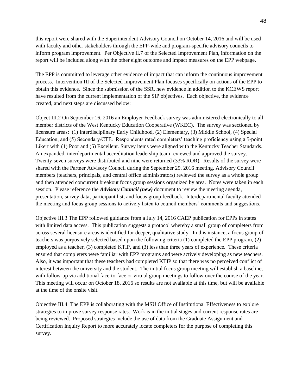this report were shared with the Superintendent Advisory Council on October 14, 2016 and will be used with faculty and other stakeholders through the EPP-wide and program-specific advisory councils to inform program improvement.Per Objective II.7 of the Selected Improvement Plan, information on the report will be included along with the other eight outcome and impact measures on the EPP webpage.

The EPP is committed to leverage other evidence of impact that can inform the continuous improvement process. Intervention III of the Selected Improvement Plan focuses specifically on actions of the EPP to obtain this evidence. Since the submission of the SSR, new evidence in addition to the KCEWS report have resulted from the current implementation of the SIP objectives. Each objective, the evidence created, and next steps are discussed below:

Object III.2 On September 16, 2016 an Employer Feedback survey was administered electronically to all member districts of the West Kentucky Education Cooperative (WKEC). The survey was sectioned by licensure areas: (1) Interdisciplinary Early Childhood, (2) Elementary, (3) Middle School, (4) Special Education, and (5) Secondary/CTE. Respondents rated completers' teaching proficiency using a 5-point Likert with (1) Poor and (5) Excellent. Survey items were aligned with the Kentucky Teacher Standards. An expanded, interdepartmental accreditation leadership team reviewed and approved the survey. Twenty-seven surveys were distributed and nine were returned (33% ROR). Results of the survey were shared with the Partner Advisory Council during the September 29, 2016 meeting. Advisory Council members (teachers, principals, and central office administrators) reviewed the survey as a whole group and then attended concurrent breakout focus group sessions organized by area. Notes were taken in each session. Please reference the *Advisory Council (new)* document to review the meeting agenda, presentation, survey data, participant list, and focus group feedback. Interdepartmental faculty attended the meeting and focus group sessions to actively listen to council members' comments and suggestions.

Objective III.3 The EPP followed guidance from a July 14, 2016 CAEP publication for EPPs in states with limited data access. This publication suggests a protocol whereby a small group of completers from across several licensure areas is identified for deeper, qualitative study. In this instance, a focus group of teachers was purposively selected based upon the following criteria (1) completed the EPP program, (2) employed as a teacher, (3) completed KTIP, and (3) less than three years of experience. These criteria ensured that completers were familiar with EPP programs and were actively developing as new teachers. Also, it was important that these teachers had completed KTIP so that there was no perceived conflict of interest between the university and the student. The initial focus group meeting will establish a baseline, with follow-up via additional face-to-face or virtual group meetings to follow over the course of the year. This meeting will occur on October 18, 2016 so results are not available at this time, but will be available at the time of the onsite visit.

Objective III.4 The EPP is collaborating with the MSU Office of Institutional Effectiveness to explore strategies to improve survey response rates. Work is in the initial stages and current response rates are being reviewed. Proposed strategies include the use of data from the Graduate Assignment and Certification Inquiry Report to more accurately locate completers for the purpose of completing this survey.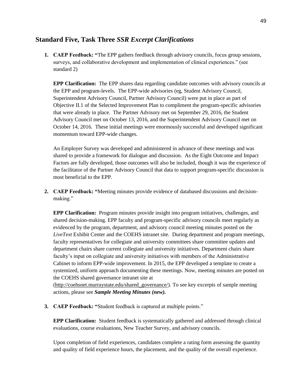### **Standard Five, Task Three** *SSR Excerpt Clarifications*

**1. CAEP Feedback: "**The EPP gathers feedback through advisory councils, focus group sessions, surveys, and collaborative development and implementation of clinical experiences." (see standard 2)

**EPP Clarification:** The EPP shares data regarding candidate outcomes with advisory councils at the EPP and program-levels. The EPP-wide advisories (eg, Student Advisory Council, Superintendent Advisory Council, Partner Advisory Council) were put in place as part of Objective II.1 of the Selected Improvement Plan to compliment the program-specific advisories that were already in place. The Partner Advisory met on September 29, 2016, the Student Advisory Council met on October 13, 2016, and the Superintendent Advisory Council met on October 14, 2016. These initial meetings were enormously successful and developed significant momentum toward EPP-wide changes.

An Employer Survey was developed and administered in advance of these meetings and was shared to provide a framework for dialogue and discussion. As the Eight Outcome and Impact Factors are fully developed, those outcomes will also be included, though it was the experience of the facilitator of the Partner Advisory Council that data to support program-specific discussion is most beneficial to the EPP.

**2. CAEP Feedback: "**Meeting minutes provide evidence of databased discussions and decisionmaking."

**EPP Clarification:** Program minutes provide insight into program initiatives, challenges, and shared decision-making. EPP faculty and program-specific advisory councils meet regularly as evidenced by the program, department, and advisory council meeting minutes posted on the *LiveText* Exhibit Center and the COEHS intranet site. During department and program meetings, faculty representatives for collegiate and university committees share committee updates and department chairs share current collegiate and university initiatives. Department chairs share faculty's input on collegiate and university initiatives with members of the Administrative Cabinet to inform EPP-wide improvement. In 2015, the EPP developed a template to create a systemized, uniform approach documenting these meetings. Now, meeting minutes are posted on the COEHS shared governance intranet site at

[\(http://coehsnet.murraystate.edu/shared\\_governance/\)](http://coehsnet.murraystate.edu/shared_governance/). To see key excerpts of sample meeting actions, please see *Sample Meeting Minutes (new).* 

**3. CAEP Feedback: "**Student feedback is captured at multiple points."

**EPP Clarification:** Student feedback is systematically gathered and addressed through clinical evaluations, course evaluations, New Teacher Survey, and advisory councils.

Upon completion of field experiences, candidates complete a rating form assessing the quantity and quality of field experience hours, the placement, and the quality of the overall experience.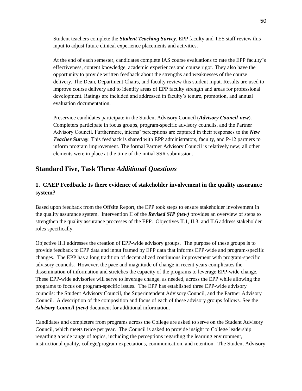Student teachers complete the *Student Teaching Survey*. EPP faculty and TES staff review this input to adjust future clinical experience placements and activities.

At the end of each semester, candidates complete IAS course evaluations to rate the EPP faculty's effectiveness, content knowledge, academic experiences and course rigor. They also have the opportunity to provide written feedback about the strengths and weaknesses of the course delivery. The Dean, Department Chairs, and faculty review this student input. Results are used to improve course delivery and to identify areas of EPP faculty strength and areas for professional development. Ratings are included and addressed in faculty's tenure, promotion, and annual evaluation documentation.

Preservice candidates participate in the Student Advisory Council (*Advisory Council-new*). Completers participate in focus groups, program-specific advisory councils, and the Partner Advisory Council. Furthermore, interns' perceptions are captured in their responses to the *New Teacher Survey*. This feedback is shared with EPP administrators, faculty, and P-12 partners to inform program improvement. The formal Partner Advisory Council is relatively new; all other elements were in place at the time of the initial SSR submission.

## **Standard Five, Task Three** *Additional Questions*

### **1. CAEP Feedback: Is there evidence of stakeholder involvement in the quality assurance system?**

Based upon feedback from the Offsite Report, the EPP took steps to ensure stakeholder involvement in the quality assurance system. Intervention II of the *Revised SIP (new)* provides an overview of steps to strengthen the quality assurance processes of the EPP. Objectives II.1, II.3, and II.6 address stakeholder roles specifically.

Objective II.1 addresses the creation of EPP-wide advisory groups. The purpose of these groups is to provide feedback to EPP data and input framed by EPP data that informs EPP-wide and program-specific changes. The EPP has a long tradition of decentralized continuous improvement with program-specific advisory councils. However, the pace and magnitude of change in recent years complicates the dissemination of information and stretches the capacity of the programs to leverage EPP-wide change. These EPP-wide advisories will serve to leverage change, as needed, across the EPP while allowing the programs to focus on program-specific issues. The EPP has established three EPP-wide advisory councils: the Student Advisory Council, the Superintendent Advisory Council, and the Partner Advisory Council. A description of the composition and focus of each of these advisory groups follows. See the *Advisory Council (new)* document for additional information.

Candidates and completers from programs across the College are asked to serve on the Student Advisory Council, which meets twice per year. The Council is asked to provide insight to College leadership regarding a wide range of topics, including the perceptions regarding the learning environment, instructional quality, college/program expectations, communication, and retention. The Student Advisory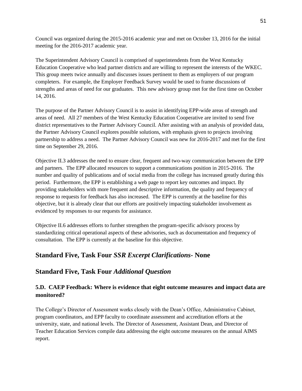Council was organized during the 2015-2016 academic year and met on October 13, 2016 for the initial meeting for the 2016-2017 academic year.

The Superintendent Advisory Council is comprised of superintendents from the West Kentucky Education Cooperative who lead partner districts and are willing to represent the interests of the WKEC. This group meets twice annually and discusses issues pertinent to them as employers of our program completers. For example, the Employer Feedback Survey would be used to frame discussions of strengths and areas of need for our graduates. This new advisory group met for the first time on October 14, 2016.

The purpose of the Partner Advisory Council is to assist in identifying EPP-wide areas of strength and areas of need. All 27 members of the West Kentucky Education Cooperative are invited to send five district representatives to the Partner Advisory Council. After assisting with an analysis of provided data, the Partner Advisory Council explores possible solutions, with emphasis given to projects involving partnership to address a need. The Partner Advisory Council was new for 2016-2017 and met for the first time on September 29, 2016.

Objective II.3 addresses the need to ensure clear, frequent and two-way communication between the EPP and partners. The EPP allocated resources to support a communications position in 2015-2016. The number and quality of publications and of social media from the college has increased greatly during this period. Furthermore, the EPP is establishing a web page to report key outcomes and impact. By providing stakeholders with more frequent and descriptive information, the quality and frequency of response to requests for feedback has also increased. The EPP is currently at the baseline for this objective, but it is already clear that our efforts are positively impacting stakeholder involvement as evidenced by responses to our requests for assistance.

Objective II.6 addresses efforts to further strengthen the program-specific advisory process by standardizing critical operational aspects of these advisories, such as documentation and frequency of consultation. The EPP is currently at the baseline for this objective.

## **Standard Five, Task Four** *SSR Excerpt Clarifications-* **None**

### **Standard Five, Task Four** *Additional Question*

### **5.D. CAEP Feedback: Where is evidence that eight outcome measures and impact data are monitored?**

The College's Director of Assessment works closely with the Dean's Office, Administrative Cabinet, program coordinators, and EPP faculty to coordinate assessment and accreditation efforts at the university, state, and national levels. The Director of Assessment, Assistant Dean, and Director of Teacher Education Services compile data addressing the eight outcome measures on the annual AIMS report.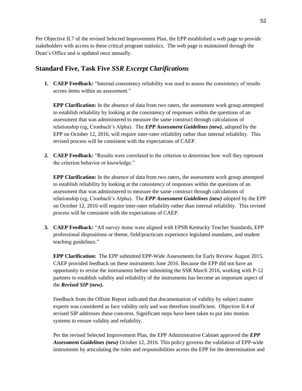Per Objective II.7 of the revised Selected Improvement Plan, the EPP established a web page to provide stakeholders with access to these critical program statistics. The web page is maintained through the Dean's Office and is updated once annually.

## **Standard Five, Task Five** *SSR Excerpt Clarifications*

**1. CAEP Feedback:** "Internal consistency reliability was used to assess the consistency of results across items within an assessment."

**EPP Clarification:** In the absence of data from two raters, the assessment work group attempted to establish reliability by looking at the consistency of responses within the questions of an assessment that was administered to measure the same construct through calculations of relationship (eg, Cronbach's Alpha). The *EPP Assessment Guidelines (new)*, adopted by the EPP on October 12, 2016, will require inter-rater reliability rather than internal reliability. This revised process will be consistent with the expectations of CAEP.

**2. CAEP Feedback:** "Results were correlated to the criterion to determine how well they represent the criterion behavior or knowledge."

**EPP Clarification:** In the absence of data from two raters, the assessment work group attempted to establish reliability by looking at the consistency of responses within the questions of an assessment that was administered to measure the same construct through calculations of relationship (eg, Cronbach's Alpha). The *EPP Assessment Guidelines (new)* adopted by the EPP on October 12, 2016 will require inter-rater reliability rather than internal reliability. This revised process will be consistent with the expectations of CAEP.

**3. CAEP Feedback:** "All survey items were aligned with EPSB Kentucky Teacher Standards, EPP professional dispositions or theme, field/practicum experience legislated mandates, and student teaching guidelines."

**EPP Clarification:** The EPP submitted EPP-Wide Assessments for Early Review August 2015. CAEP provided feedback on these instruments June 2016. Because the EPP did not have an opportunity to revise the instruments before submitting the SSR March 2016, working with P-12 partners to establish validity and reliability of the instruments has become an important aspect of the *Revised SIP (new).*

Feedback from the Offsite Report indicated that documentation of validity by subject matter experts was considered as face validity only and was therefore insufficient. Objective II.4 of revised SIP addresses these concerns. Significant steps have been taken to put into motion systems to ensure validity and reliability.

Per the revised Selected Improvement Plan, the EPP Administrative Cabinet approved the *EPP Assessment Guidelines (new)* October 12, 2016. This policy governs the validation of EPP-wide instruments by articulating the roles and responsibilities across the EPP for the determination and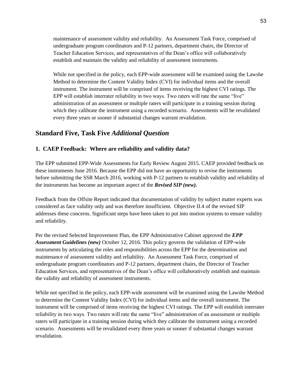maintenance of assessment validity and reliability. An Assessment Task Force, comprised of undergraduate program coordinators and P-12 partners, department chairs, the Director of Teacher Education Services, and representatives of the Dean's office will collaboratively establish and maintain the validity and reliability of assessment instruments.

While not specified in the policy, each EPP-wide assessment will be examined using the Lawshe Method to determine the Content Validity Index (CVI) for individual items and the overall instrument. The instrument will be comprised of items receiving the highest CVI ratings. The EPP will establish interrater reliability in two ways. Two raters will rate the same "live" administration of an assessment or multiple raters will participate in a training session during which they calibrate the instrument using a recorded scenario. Assessments will be revalidated every three years or sooner if substantial changes warrant revalidation.

### **Standard Five, Task Five** *Additional Question*

#### **1. CAEP Feedback: Where are reliability and validity data?**

The EPP submitted EPP-Wide Assessments for Early Review August 2015. CAEP provided feedback on these instruments June 2016. Because the EPP did not have an opportunity to revise the instruments before submitting the SSR March 2016, working with P-12 partners to establish validity and reliability of the instruments has become an important aspect of the *Revised SIP (new).*

Feedback from the Offsite Report indicated that documentation of validity by subject matter experts was considered as face validity only and was therefore insufficient. Objective II.4 of the revised SIP addresses these concerns. Significant steps have been taken to put into motion systems to ensure validity and reliability.

Per the revised Selected Improvement Plan, the EPP Administrative Cabinet approved the *EPP Assessment Guidelines (new)* October 12, 2016. This policy governs the validation of EPP-wide instruments by articulating the roles and responsibilities across the EPP for the determination and maintenance of assessment validity and reliability. An Assessment Task Force, comprised of undergraduate program coordinators and P-12 partners, department chairs, the Director of Teacher Education Services, and representatives of the Dean's office will collaboratively establish and maintain the validity and reliability of assessment instruments.

While not specified in the policy, each EPP-wide assessment will be examined using the Lawshe Method to determine the Content Validity Index (CVI) for individual items and the overall instrument. The instrument will be comprised of items receiving the highest CVI ratings. The EPP will establish interrater reliability in two ways. Two raters will rate the same "live" administration of an assessment or multiple raters will participate in a training session during which they calibrate the instrument using a recorded scenario. Assessments will be revalidated every three years or sooner if substantial changes warrant revalidation.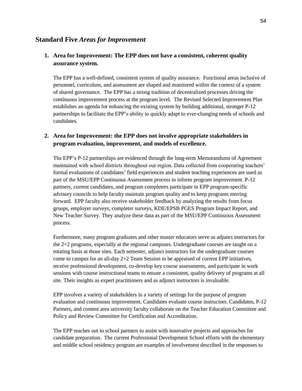#### **Standard Five** *Areas for Improvement*

#### **1. Area for Improvement: The EPP does not have a consistent, coherent quality assurance system.**

The EPP has a well-defined, consistent system of quality assurance. Functional areas inclusive of personnel, curriculum, and assessment are shaped and monitored within the context of a system of shared governance. The EPP has a strong tradition of decentralized processes driving the continuous improvement process at the program level. The Revised Selected Improvement Plan establishes an agenda for enhancing the existing system by building additional, stronger P-12 partnerships to facilitate the EPP's ability to quickly adapt to ever-changing needs of schools and candidates.

#### **2. Area for Improvement: the EPP does not involve appropriate stakeholders in program evaluation, improvement, and models of excellence.**

The EPP's P-12 partnerships are evidenced through the long-term Memorandums of Agreement maintained with school districts throughout our region. Data collected from cooperating teachers' formal evaluations of candidates' field experiences and student teaching experiences are used as part of the MSU/EPP Continuous Assessment process to inform program improvement. P-12 partners, current candidates, and program completers participate in EPP program-specific advisory councils to help faculty maintain program quality and to keep programs moving forward. EPP faculty also receive stakeholder feedback by analyzing the results from focus groups, employer surveys, completer surveys, KDE/EPSB PGES Program Impact Report, and New Teacher Survey. They analyze these data as part of the MSU/EPP Continuous Assessment process.

Furthermore, many program graduates and other master educators serve as adjunct instructors for the 2+2 programs, especially at the regional campuses. Undergraduate courses are taught on a rotating basis at those sites. Each semester, adjunct instructors for the undergraduate courses come to campus for an all-day 2+2 Team Session to be appraised of current EPP initiatives, receive professional development, co-develop key course assessments, and participate in work sessions with course instructional teams to ensure a consistent, quality delivery of programs at all site. Their insights as expert practitioners and as adjunct instructors is invaluable.

EPP involves a variety of stakeholders in a variety of settings for the purpose of program evaluation and continuous improvement. Candidates evaluate course instructors. Candidates, P-12 Partners, and content area university faculty collaborate on the Teacher Education Committee and Policy and Review Committee for Certification and Accreditation.

The EPP reaches out to school partners to assist with innovative projects and approaches for candidate preparation. The current Professional Development School efforts with the elementary and middle school residency program are examples of involvement described in the responses to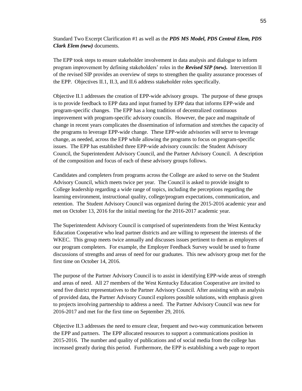Standard Two Excerpt Clarification #1 as well as the *PDS MS Model, PDS Central Elem, PDS Clark Elem (new)* documents.

The EPP took steps to ensure stakeholder involvement in data analysis and dialogue to inform program improvement by defining stakeholders' roles in the *Revised SIP (new).* Intervention II of the revised SIP provides an overview of steps to strengthen the quality assurance processes of the EPP. Objectives II.1, II.3, and II.6 address stakeholder roles specifically.

Objective II.1 addresses the creation of EPP-wide advisory groups. The purpose of these groups is to provide feedback to EPP data and input framed by EPP data that informs EPP-wide and program-specific changes. The EPP has a long tradition of decentralized continuous improvement with program-specific advisory councils. However, the pace and magnitude of change in recent years complicates the dissemination of information and stretches the capacity of the programs to leverage EPP-wide change. These EPP-wide advisories will serve to leverage change, as needed, across the EPP while allowing the programs to focus on program-specific issues. The EPP has established three EPP-wide advisory councils: the Student Advisory Council, the Superintendent Advisory Council, and the Partner Advisory Council. A description of the composition and focus of each of these advisory groups follows.

Candidates and completers from programs across the College are asked to serve on the Student Advisory Council, which meets twice per year. The Council is asked to provide insight to College leadership regarding a wide range of topics, including the perceptions regarding the learning environment, instructional quality, college/program expectations, communication, and retention. The Student Advisory Council was organized during the 2015-2016 academic year and met on October 13, 2016 for the initial meeting for the 2016-2017 academic year.

The Superintendent Advisory Council is comprised of superintendents from the West Kentucky Education Cooperative who lead partner districts and are willing to represent the interests of the WKEC. This group meets twice annually and discusses issues pertinent to them as employers of our program completers. For example, the Employer Feedback Survey would be used to frame discussions of strengths and areas of need for our graduates. This new advisory group met for the first time on October 14, 2016.

The purpose of the Partner Advisory Council is to assist in identifying EPP-wide areas of strength and areas of need. All 27 members of the West Kentucky Education Cooperative are invited to send five district representatives to the Partner Advisory Council. After assisting with an analysis of provided data, the Partner Advisory Council explores possible solutions, with emphasis given to projects involving partnership to address a need. The Partner Advisory Council was new for 2016-2017 and met for the first time on September 29, 2016.

Objective II.3 addresses the need to ensure clear, frequent and two-way communication between the EPP and partners. The EPP allocated resources to support a communications position in 2015-2016. The number and quality of publications and of social media from the college has increased greatly during this period. Furthermore, the EPP is establishing a web page to report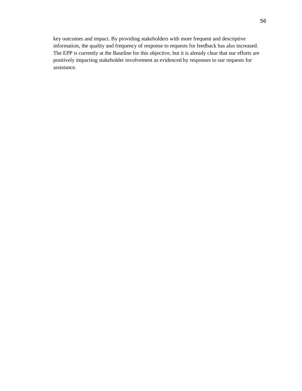key outcomes and impact. By providing stakeholders with more frequent and descriptive information, the quality and frequency of response to requests for feedback has also increased. The EPP is currently at the Baseline for this objective, but it is already clear that our efforts are positively impacting stakeholder involvement as evidenced by responses to our requests for assistance.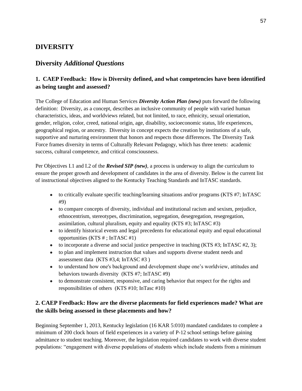## **DIVERSITY**

## **Diversity** *Additional Questions*

## **1. CAEP Feedback: How is Diversity defined, and what competencies have been identified as being taught and assessed?**

The College of Education and Human Services *Diversity Action Plan (new)* puts forward the following definition: Diversity, as a concept, describes an inclusive community of people with varied human characteristics, ideas, and worldviews related, but not limited, to race, ethnicity, sexual orientation, gender, religion, color, creed, national origin, age, disability, socioeconomic status, life experiences, geographical region, or ancestry. Diversity in concept expects the creation by institutions of a safe, supportive and nurturing environment that honors and respects those differences. The Diversity Task Force frames diversity in terms of Culturally Relevant Pedagogy, which has three tenets: academic success, cultural competence, and critical consciousness.

Per Objectives I.1 and I.2 of the *Revised SIP (new)*, a process is underway to align the curriculum to ensure the proper growth and development of candidates in the area of diversity. Below is the current list of instructional objectives aligned to the Kentucky Teaching Standards and InTASC standards.

- to critically evaluate specific teaching/learning situations and/or programs (KTS #7; InTASC) #9)
- to compare concepts of diversity, individual and institutional racism and sexism, prejudice, ethnocentrism, stereotypes, discrimination, segregation, desegregation, resegregation, assimilation, cultural pluralism, equity and equality (KTS #3; InTASC #3)
- to identify historical events and legal precedents for educational equity and equal educational opportunities (KTS # ; InTASC #1)
- $\bullet$  to incorporate a diverse and social justice perspective in teaching (KTS #3; InTASC #2, 3);
- to plan and implement instruction that values and supports diverse student needs and assessment data (KTS #3,4; InTASC #3 )
- to understand how one's background and development shape one's worldview, attitudes and behaviors towards diversity (KTS #7; InTASC #9)
- to demonstrate consistent, responsive, and caring behavior that respect for the rights and responsibilities of others (KTS #10; InTasc #10)

### **2. CAEP Feedback: How are the diverse placements for field experiences made? What are the skills being assessed in these placements and how?**

Beginning September 1, 2013, Kentucky legislation (16 KAR 5:010) mandated candidates to complete a minimum of 200 clock hours of field experiences in a variety of P-12 school settings before gaining admittance to student teaching. Moreover, the legislation required candidates to work with diverse student populations: "engagement with diverse populations of students which include students from a minimum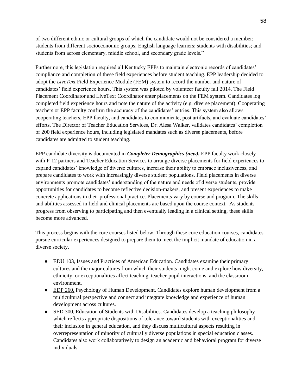of two different ethnic or cultural groups of which the candidate would not be considered a member; students from different socioeconomic groups; English language learners; students with disabilities; and students from across elementary, middle school, and secondary grade levels."

Furthermore, this legislation required all Kentucky EPPs to maintain electronic records of candidates' compliance and completion of these field experiences before student teaching. EPP leadership decided to adopt the *LiveText* Field Experience Module (FEM) system to record the number and nature of candidates' field experience hours. This system was piloted by volunteer faculty fall 2014. The Field Placement Coordinator and LiveText Coordinator enter placements on the FEM system. Candidates log completed field experience hours and note the nature of the activity (e.g. diverse placement). Cooperating teachers or EPP faculty confirm the accuracy of the candidates' entries. This system also allows cooperating teachers, EPP faculty, and candidates to communicate, post artifacts, and evaluate candidates' efforts. The Director of Teacher Education Services, Dr. Alesa Walker, validates candidates' completion of 200 field experience hours, including legislated mandates such as diverse placements, before candidates are admitted to student teaching.

EPP candidate diversity is documented in *Completer Demographics (new).* EPP faculty work closely with P-12 partners and Teacher Education Services to arrange diverse placements for field experiences to expand candidates' knowledge of diverse cultures, increase their ability to embrace inclusiveness, and prepare candidates to work with increasingly diverse student populations. Field placements in diverse environments promote candidates' understanding of the nature and needs of diverse students, provide opportunities for candidates to become reflective decision-makers, and present experiences to make concrete applications in their professional practice. Placements vary by course and program. The skills and abilities assessed in field and clinical placements are based upon the course context. As students progress from observing to participating and then eventually leading in a clinical setting, these skills become more advanced.

This process begins with the core courses listed below. Through these core education courses, candidates pursue curricular experiences designed to prepare them to meet the implicit mandate of education in a diverse society.

- EDU 103, Issues and Practices of American Education. Candidates examine their primary cultures and the major cultures from which their students might come and explore how diversity, ethnicity, or exceptionalities affect teaching, teacher-pupil interactions, and the classroom environment.
- EDP 260, Psychology of Human Development. Candidates explore human development from a multicultural perspective and connect and integrate knowledge and experience of human development across cultures.
- SED 300, Education of Students with Disabilities. Candidates develop a teaching philosophy which reflects appropriate dispositions of tolerance toward students with exceptionalities and their inclusion in general education, and they discuss multicultural aspects resulting in overrepresentation of minority of culturally diverse populations in special education classes. Candidates also work collaboratively to design an academic and behavioral program for diverse individuals.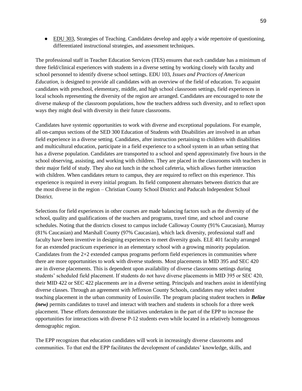● EDU 303, Strategies of Teaching. Candidates develop and apply a wide repertoire of questioning, differentiated instructional strategies, and assessment techniques.

The professional staff in Teacher Education Services (TES) ensures that each candidate has a minimum of three field/clinical experiences with students in a diverse setting by working closely with faculty and school personnel to identify diverse school settings. EDU 103, *Issues and Practices of American Education*, is designed to provide all candidates with an overview of the field of education. To acquaint candidates with preschool, elementary, middle, and high school classroom settings, field experiences in local schools representing the diversity of the region are arranged. Candidates are encouraged to note the diverse makeup of the classroom populations, how the teachers address such diversity, and to reflect upon ways they might deal with diversity in their future classrooms.

Candidates have systemic opportunities to work with diverse and exceptional populations. For example, all on-campus sections of the SED 300 Education of Students with Disabilities are involved in an urban field experience in a diverse setting. Candidates, after instruction pertaining to children with disabilities and multicultural education, participate in a field experience to a school system in an urban setting that has a diverse population. Candidates are transported to a school and spend approximately five hours in the school observing, assisting, and working with children. They are placed in the classrooms with teachers in their major field of study. They also eat lunch in the school cafeteria, which allows further interaction with children. When candidates return to campus, they are required to reflect on this experience. This experience is required in every initial program. Its field component alternates between districts that are the most diverse in the region – Christian County School District and Paducah Independent School District.

Selections for field experiences in other courses are made balancing factors such as the diversity of the school, quality and qualifications of the teachers and programs, travel time, and school and course schedules. Noting that the districts closest to campus include Calloway County (91% Caucasian), Murray (81% Caucasian) and Marshall County (97% Caucasian), which lack diversity, professional staff and faculty have been inventive in designing experiences to meet diversity goals. ELE 401 faculty arranged for an extended practicum experience in an elementary school with a growing minority population. Candidates from the 2+2 extended campus programs perform field experiences in communities where there are more opportunities to work with diverse students. Most placements in MID 395 and SEC 420 are in diverse placements. This is dependent upon availability of diverse classrooms settings during students' scheduled field placement. If students do not have diverse placements in MID 395 or SEC 420, their MID 422 or SEC 422 placements are in a diverse setting. Principals and teachers assist in identifying diverse classes. Through an agreement with Jefferson County Schools, candidates may select student teaching placement in the urban community of Louisville. The program placing student teachers in *Belize (new)* permits candidates to travel and interact with teachers and students in schools for a three week placement. These efforts demonstrate the initiatives undertaken in the part of the EPP to increase the opportunities for interactions with diverse P-12 students even while located in a relatively homogenous demographic region.

The EPP recognizes that education candidates will work in increasingly diverse classrooms and communities. To that end the EPP facilitates the development of candidates' knowledge, skills, and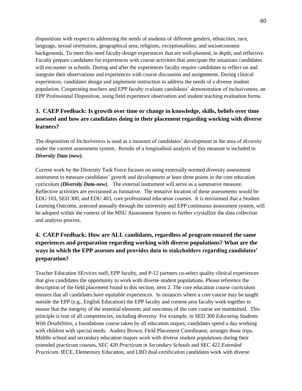dispositions with respect to addressing the needs of students of different genders, ethnicities, race, language, sexual orientation, geographical area, religions, exceptionalities, and socioeconomic backgrounds. To meet this need faculty design experiences that are well-planned, in depth, and reflective. Faculty prepare candidates for experiences with course activities that anticipate the situations candidates will encounter in schools. During and after the experiences faculty require candidates to reflect on and integrate their observations and experiences with course discussion and assignments. During clinical experiences, candidates design and implement instruction to address the needs of a diverse student population. Cooperating teachers and EPP faculty evaluate candidates' demonstration of inclusiveness, an EPP Professional Disposition, using field experience observation and student teaching evaluation forms.

### **3. CAEP Feedback: Is growth over time or change in knowledge, skills, beliefs over time assessed and how are candidates doing in their placement regarding working with diverse learners?**

The disposition of *Inclusiveness* is used as a measure of candidates' development in the area of diversity under the current assessment system. Results of a longitudinal analysis of this measure is included in *Diversity Data (new)***.**

Current work by the Diversity Task Force focuses on using externally normed diversity assessment instrument to measure candidates' growth and development at least three points in the core education curriculum *(Diversity Data-new)*. The external instrument will serve as a summative measure. Reflective activities are envisioned as formative. The tentative location of these assessments would be EDU 103, SED 300, and EDU 403, core professional education courses. It is envisioned that a Student Learning Outcome, assessed annually through the university and EPP continuous assessment system, will be adopted within the context of the MSU Assessment System to further crystallize the data collection and analysis process.

## **4. CAEP Feedback: How are ALL candidates, regardless of program ensured the same experiences and preparation regarding working with diverse populations? What are the ways in which the EPP assesses and provides data to stakeholders regarding candidates' preparation?**

Teacher Education SErvices staff, EPP faculty, and P-12 partners co-select quality clinical experiences that give candidates the opportunity to work with diverse student populations. Please reference the description of the field placement found in this section, item 2. The core education course curriculum ensures that all candidates have equitable experiences. In instances where a core course may be taught outside the EPP (e.g., English Education) the EPP faculty and content area faculty work together to ensure that the integrity of the essential elements and outcomes of the core course are maintained. This principle is true of all competencies, including diversity. For example, in SED 300 *Educating Students With Disabilities*, a foundations course taken by all education majors, candidates spend a day working with children with special needs. Audrey Brown, Field Placement Coordinator, arranges those trips. Middle school and secondary education majors work with diverse student populations during their extended practicum courses, SEC 420 *Practicum in Secondary Schools* and SEC 422 *Extended Practicum*. IECE, Elementary Education, and LBD dual certification candidates work with diverse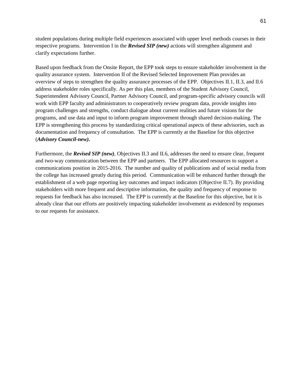student populations during multiple field experiences associated with upper level methods courses in their respective programs. Intervention I in the *Revised SIP (new)* actions will strengthen alignment and clarify expectations further.

Based upon feedback from the Onsite Report, the EPP took steps to ensure stakeholder involvement in the quality assurance system. Intervention II of the Revised Selected Improvement Plan provides an overview of steps to strengthen the quality assurance processes of the EPP. Objectives II.1, II.3, and II.6 address stakeholder roles specifically. As per this plan, members of the Student Advisory Council, Superintendent Advisory Council, Partner Advisory Council, and program-specific advisory councils will work with EPP faculty and administrators to cooperatively review program data, provide insights into program challenges and strengths, conduct dialogue about current realities and future visions for the programs, and use data and input to inform program improvement through shared decision-making. The EPP is strengthening this process by standardizing critical operational aspects of these advisories, such as documentation and frequency of consultation. The EPP is currently at the Baseline for this objective (*Advisory Council-new).*

Furthermore, the *Revised SIP (new)*, Objectives II.3 and II.6, addresses the need to ensure clear, frequent and two-way communication between the EPP and partners. The EPP allocated resources to support a communications position in 2015-2016. The number and quality of publications and of social media from the college has increased greatly during this period. Communication will be enhanced further through the establishment of a web page reporting key outcomes and impact indicators (Objective II.7). By providing stakeholders with more frequent and descriptive information, the quality and frequency of response to requests for feedback has also increased. The EPP is currently at the Baseline for this objective, but it is already clear that our efforts are positively impacting stakeholder involvement as evidenced by responses to our requests for assistance.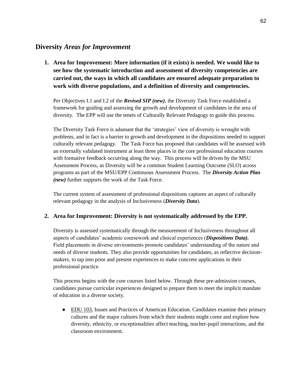### **Diversity** *Areas for Improvement*

**1. Area for Improvement: More information (if it exists) is needed. We would like to see how the systematic introduction and assessment of diversity competencies are carried out, the ways in which all candidates are ensured adequate preparation to work with diverse populations, and a definition of diversity and competencies.**

Per Objectives I.1 and I.2 of the *Revised SIP (new)*, the Diversity Task Force established a framework for guiding and assessing the growth and development of candidates in the area of diversity. The EPP will use the tenets of Culturally Relevant Pedagogy to guide this process.

The Diversity Task Force is adamant that the 'strategies' view of diversity is wrought with problems, and in fact is a barrier to growth and development in the dispositions needed to support culturally relevant pedagogy. The Task Force has proposed that candidates will be assessed with an externally validated instrument at least three places in the core professional education courses with formative feedback occurring along the way. This process will be driven by the MSU Assessment Process, as Diversity will be a common Student Learning Outcome (SLO) across programs as part of the MSU/EPP Continuous Assessment Process. The *Diversity Action Plan (new)* further supports the work of the Task Force.

The current system of assessment of professional dispositions captures an aspect of culturally relevant pedagogy in the analysis of Inclusiveness (*Diversity Data*).

#### **2. Area for Improvement: Diversity is not systematically addressed by the EPP.**

Diversity is assessed systematically through the measurement of Inclusiveness throughout all aspects of candidates' academic coursework and clinical experiences (*Dispositions Data).*  Field placements in diverse environments promote candidates' understanding of the nature and needs of diverse students. They also provide opportunities for candidates, as reflective decisionmakers, to tap into prior and present experiences to make concrete applications in their professional practice.

This process begins with the core courses listed below. Through these pre-admission courses, candidates pursue curricular experiences designed to prepare them to meet the implicit mandate of education in a diverse society.

● EDU 103, Issues and Practices of American Education. Candidates examine their primary cultures and the major cultures from which their students might come and explore how diversity, ethnicity, or exceptionalities affect teaching, teacher-pupil interactions, and the classroom environment.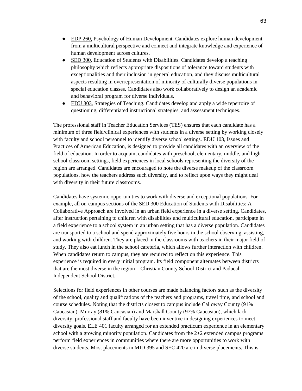- EDP 260, Psychology of Human Development. Candidates explore human development from a multicultural perspective and connect and integrate knowledge and experience of human development across cultures.
- SED 300, Education of Students with Disabilities. Candidates develop a teaching philosophy which reflects appropriate dispositions of tolerance toward students with exceptionalities and their inclusion in general education, and they discuss multicultural aspects resulting in overrepresentation of minority of culturally diverse populations in special education classes. Candidates also work collaboratively to design an academic and behavioral program for diverse individuals.
- EDU 303, Strategies of Teaching. Candidates develop and apply a wide repertoire of questioning, differentiated instructional strategies, and assessment techniques.

The professional staff in Teacher Education Services (TES) ensures that each candidate has a minimum of three field/clinical experiences with students in a diverse setting by working closely with faculty and school personnel to identify diverse school settings. EDU 103, Issues and Practices of American Education, is designed to provide all candidates with an overview of the field of education. In order to acquaint candidates with preschool, elementary, middle, and high school classroom settings, field experiences in local schools representing the diversity of the region are arranged. Candidates are encouraged to note the diverse makeup of the classroom populations, how the teachers address such diversity, and to reflect upon ways they might deal with diversity in their future classrooms.

Candidates have systemic opportunities to work with diverse and exceptional populations. For example, all on-campus sections of the SED 300 Education of Students with Disabilities: A Collaborative Approach are involved in an urban field experience in a diverse setting. Candidates, after instruction pertaining to children with disabilities and multicultural education, participate in a field experience to a school system in an urban setting that has a diverse population. Candidates are transported to a school and spend approximately five hours in the school observing, assisting, and working with children. They are placed in the classrooms with teachers in their major field of study. They also eat lunch in the school cafeteria, which allows further interaction with children. When candidates return to campus, they are required to reflect on this experience. This experience is required in every initial program. Its field component alternates between districts that are the most diverse in the region – Christian County School District and Paducah Independent School District.

Selections for field experiences in other courses are made balancing factors such as the diversity of the school, quality and qualifications of the teachers and programs, travel time, and school and course schedules. Noting that the districts closest to campus include Calloway County (91% Caucasian), Murray (81% Caucasian) and Marshall County (97% Caucasian), which lack diversity, professional staff and faculty have been inventive in designing experiences to meet diversity goals. ELE 401 faculty arranged for an extended practicum experience in an elementary school with a growing minority population. Candidates from the 2+2 extended campus programs perform field experiences in communities where there are more opportunities to work with diverse students. Most placements in MID 395 and SEC 420 are in diverse placements. This is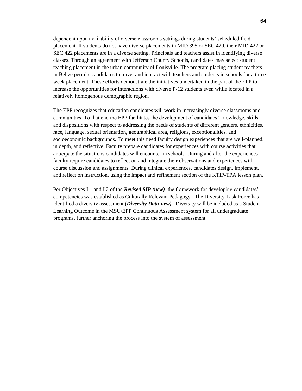dependent upon availability of diverse classrooms settings during students' scheduled field placement. If students do not have diverse placements in MID 395 or SEC 420, their MID 422 or SEC 422 placements are in a diverse setting. Principals and teachers assist in identifying diverse classes. Through an agreement with Jefferson County Schools, candidates may select student teaching placement in the urban community of Louisville. The program placing student teachers in Belize permits candidates to travel and interact with teachers and students in schools for a three week placement. These efforts demonstrate the initiatives undertaken in the part of the EPP to increase the opportunities for interactions with diverse P-12 students even while located in a relatively homogenous demographic region.

The EPP recognizes that education candidates will work in increasingly diverse classrooms and communities. To that end the EPP facilitates the development of candidates' knowledge, skills, and dispositions with respect to addressing the needs of students of different genders, ethnicities, race, language, sexual orientation, geographical area, religions, exceptionalities, and socioeconomic backgrounds. To meet this need faculty design experiences that are well-planned, in depth, and reflective. Faculty prepare candidates for experiences with course activities that anticipate the situations candidates will encounter in schools. During and after the experiences faculty require candidates to reflect on and integrate their observations and experiences with course discussion and assignments. During clinical experiences, candidates design, implement, and reflect on instruction, using the impact and refinement section of the KTIP-TPA lesson plan.

Per Objectives I.1 and I.2 of the *Revised SIP (new)*, the framework for developing candidates' competencies was established as Culturally Relevant Pedagogy. The Diversity Task Force has identified a diversity assessment (*Diversity Data-new).* Diversity will be included as a Student Learning Outcome in the MSU/EPP Continuous Assessment system for all undergraduate programs, further anchoring the process into the system of assessment.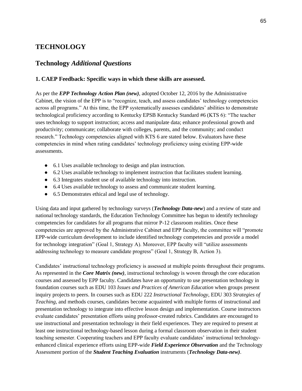## **TECHNOLOGY**

### **Technology** *Additional Questions*

#### **1. CAEP Feedback: Specific ways in which these skills are assessed.**

As per the *EPP Technology Action Plan (new)*, adopted October 12, 2016 by the Administrative Cabinet, the vision of the EPP is to "recognize, teach, and assess candidates' technology competencies across all programs." At this time, the EPP systematically assesses candidates' abilities to demonstrate technological proficiency according to Kentucky EPSB Kentucky Standard #6 (KTS 6): "The teacher uses technology to support instruction; access and manipulate data; enhance professional growth and productivity; communicate; collaborate with colleges, parents, and the community; and conduct research." Technology competencies aligned with KTS 6 are stated below. Evaluators have these competencies in mind when rating candidates' technology proficiency using existing EPP-wide assessments.

- 6.1 Uses available technology to design and plan instruction.
- 6.2 Uses available technology to implement instruction that facilitates student learning.
- 6.3 Integrates student use of available technology into instruction.
- 6.4 Uses available technology to assess and communicate student learning.
- 6.5 Demonstrates ethical and legal use of technology.

Using data and input gathered by technology surveys (*Technology Data-new*) and a review of state and national technology standards, the Education Technology Committee has begun to identify technology competencies for candidates for all programs that mirror P-12 classroom realities. Once these competencies are approved by the Administrative Cabinet and EPP faculty, the committee will "promote EPP-wide curriculum development to include identified technology competencies and provide a model for technology integration" (Goal 1, Strategy A). Moreover, EPP faculty will "utilize assessments addressing technology to measure candidate progress" (Goal 1, Strategy B, Action 3).

Candidates' instructional technology proficiency is assessed at multiple points throughout their programs. As represented in the *Core Matrix (new)*, instructional technology is woven through the core education courses and assessed by EPP faculty. Candidates have an opportunity to use presentation technology in foundation courses such as EDU 103 *Issues and Practices of American Education* when groups present inquiry projects to peers. In courses such as EDU 222 *Instructional Technology*, EDU 303 *Strategies of Teaching*, and methods courses, candidates become acquainted with multiple forms of instructional and presentation technology to integrate into effective lesson design and implementation. Course instructors evaluate candidates' presentation efforts using professor-created rubrics. Candidates are encouraged to use instructional and presentation technology in their field experiences. They are required to present at least one instructional technology-based lesson during a formal classroom observation in their student teaching semester. Cooperating teachers and EPP faculty evaluate candidates' instructional technologyenhanced clinical experience efforts using EPP-wide *Field Experience Observation* and the Technology Assessment portion of the *Student Teaching Evaluation* instruments (*Technology Data-new)*.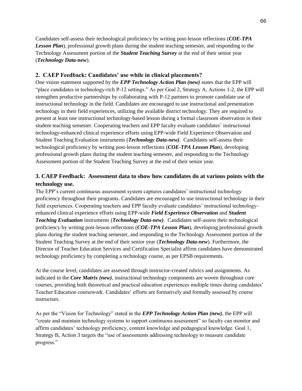Candidates self-assess their technological proficiency by writing post-lesson reflections (*COE-TPA Lesson Plan*), professional growth plans during the student teaching semester, and responding to the Technology Assessment portion of the *Student Teaching Survey* at the end of their senior year (*Technology Data-new*).

#### **2. CAEP Feedback: Candidates' use while in clinical placements?**

One vision statement supported by the *EPP Technology Action Plan (new)* states that the EPP will "place candidates in technology-rich P-12 settings." As per Goal 2, Strategy A, Actions 1-2, the EPP will strengthen productive partnerships by collaborating with P-12 partners to promote candidate use of instructional technology in the field. Candidates are encouraged to use instructional and presentation technology in their field experiences, utilizing the available district technology. They are required to present at least one instructional technology-based lesson during a formal classroom observation in their student teaching semester. Cooperating teachers and EPP faculty evaluate candidates' instructional technology-enhanced clinical experience efforts using EPP-wide Field Experience Observation and Student Teaching Evaluation instruments (*Technology Data-new)*. Candidates self-assess their technological proficiency by writing post-lesson reflections (*COE-TPA Lesson Plan*), developing professional growth plans during the student teaching semester, and responding to the Technology Assessment portion of the Student Teaching Survey at the end of their senior year.

### **3. CAEP Feedback: Assessment data to show how candidates do at various points with the technology use.**

The EPP's current continuous assessment system captures candidates' instructional technology proficiency throughout their programs. Candidates are encouraged to use instructional technology in their field experiences. Cooperating teachers and EPP faculty evaluate candidates' instructional technologyenhanced clinical experience efforts using EPP-wide *Field Experience Observation* and *Student Teaching Evaluation* instruments (*Technology Data-new)*. Candidates self-assess their technological proficiency by writing post-lesson reflections (*COE-TPA Lesson Plan*), developing professional growth plans during the student teaching semester, and responding to the Technology Assessment portion of the Student Teaching Survey at the end of their senior year (*Technology Data-new*). Furthermore, the Director of Teacher Education Services and Certification Specialist affirm candidates have demonstrated technology proficiency by completing a technology course, as per EPSB requirements.

At the course level, candidates are assessed through instructor-created rubrics and assignments. As indicated in the *Core Matrix (new)*, instructional technology components are woven throughout core courses, providing both theoretical and practical education experiences multiple times during candidates' Teacher Education coursework. Candidates' efforts are formatively and formally assessed by course instructors.

As per the "Vision for Technology" stated in the *EPP Technology Action Plan (new)*, the EPP will "create and maintain technology systems to support continuous assessment" so faculty can monitor and affirm candidates' technology proficiency, content knowledge and pedagogical knowledge. Goal 1, Strategy B, Action 3 targets the "use of assessments addressing technology to measure candidate progress."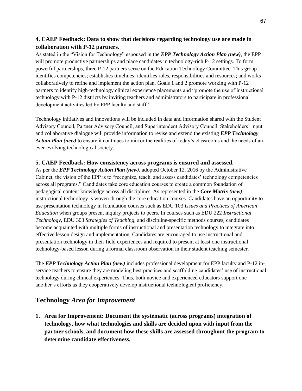### **4. CAEP Feedback: Data to show that decisions regarding technology use are made in collaboration with P-12 partners.**

As stated in the "Vision for Technology" espoused in the *EPP Technology Action Plan (new)*, the EPP will promote productive partnerships and place candidates in technology-rich P-12 settings. To form powerful partnerships, three P-12 partners serve on the Education Technology Committee. This group identifies competencies; establishes timelines; identifies roles, responsibilities and resources; and works collaboratively to refine and implement the action plan. Goals 1 and 2 promote working with P-12 partners to identify high-technology clinical experience placements and "promote the use of instructional technology with P-12 districts by inviting teachers and administrators to participate in professional development activities led by EPP faculty and staff."

Technology initiatives and innovations will be included in data and information shared with the Student Advisory Council, Partner Advisory Council, and Superintendent Advisory Council. Stakeholders' input and collaborative dialogue will provide information to revise and extend the existing *EPP Technology Action Plan (new)* to ensure it continues to mirror the realities of today's classrooms and the needs of an ever-evolving technological society.

#### **5. CAEP Feedback: How consistency across programs is ensured and assessed.**

As per the *EPP Technology Action Plan (new)*, adopted October 12, 2016 by the Administrative Cabinet, the vision of the EPP is to "recognize, teach, and assess candidates' technology competencies across all programs." Candidates take core education courses to create a common foundation of pedagogical content knowledge across all disciplines. As represented in the *Core Matrix (new)*, instructional technology is woven through the core education courses. Candidates have an opportunity to use presentation technology in foundation courses such as EDU 103 *Issues and Practices of American Education* when groups present inquiry projects to peers. In courses such as EDU 222 *Instructional Technology*, EDU 303 *Strategies of Teaching*, and discipline-specific methods courses, candidates become acquainted with multiple forms of instructional and presentation technology to integrate into effective lesson design and implementation. Candidates are encouraged to use instructional and presentation technology in their field experiences and required to present at least one instructional technology-based lesson during a formal classroom observation in their student teaching semester.

The *EPP Technology Action Plan (new)* includes professional development for EPP faculty and P-12 inservice teachers to ensure they are modeling best practices and scaffolding candidates' use of instructional technology during clinical experiences. Thus, both novice and experienced educators support one another's efforts as they cooperatively develop instructional technological proficiency.

#### **Technology** *Area for Improvement*

**1. Area for Improvement: Document the systematic (across programs) integration of technology, how what technologies and skills are decided upon with input from the partner schools, and document how these skills are assessed throughout the program to determine candidate effectiveness.**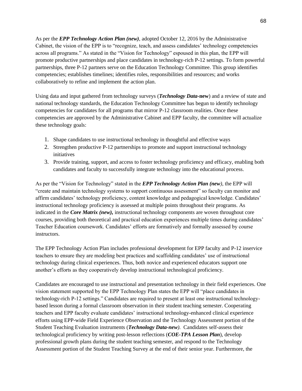As per the *EPP Technology Action Plan (new)*, adopted October 12, 2016 by the Administrative Cabinet, the vision of the EPP is to "recognize, teach, and assess candidates' technology competencies across all programs." As stated in the "Vision for Technology" espoused in this plan, the EPP will promote productive partnerships and place candidates in technology-rich P-12 settings. To form powerful partnerships, three P-12 partners serve on the Education Technology Committee. This group identifies competencies; establishes timelines; identifies roles, responsibilities and resources; and works collaboratively to refine and implement the action plan.

Using data and input gathered from technology surveys (*Technology Data-***new**) and a review of state and national technology standards, the Education Technology Committee has begun to identify technology competencies for candidates for all programs that mirror P-12 classroom realities. Once these competencies are approved by the Administrative Cabinet and EPP faculty, the committee will actualize these technology goals:

- 1. Shape candidates to use instructional technology in thoughtful and effective ways
- 2. Strengthen productive P-12 partnerships to promote and support instructional technology initiatives
- 3. Provide training, support, and access to foster technology proficiency and efficacy, enabling both candidates and faculty to successfully integrate technology into the educational process.

As per the "Vision for Technology" stated in the *EPP Technology Action Plan (new)*, the EPP will "create and maintain technology systems to support continuous assessment" so faculty can monitor and affirm candidates' technology proficiency, content knowledge and pedagogical knowledge. Candidates' instructional technology proficiency is assessed at multiple points throughout their programs. As indicated in the *Core Matrix (new),* instructional technology components are woven throughout core courses, providing both theoretical and practical education experiences multiple times during candidates' Teacher Education coursework. Candidates' efforts are formatively and formally assessed by course instructors.

The EPP Technology Action Plan includes professional development for EPP faculty and P-12 inservice teachers to ensure they are modeling best practices and scaffolding candidates' use of instructional technology during clinical experiences. Thus, both novice and experienced educators support one another's efforts as they cooperatively develop instructional technological proficiency.

Candidates are encouraged to use instructional and presentation technology in their field experiences. One vision statement supported by the EPP Technology Plan states the EPP will "place candidates in technology-rich P-12 settings." Candidates are required to present at least one instructional technologybased lesson during a formal classroom observation in their student teaching semester. Cooperating teachers and EPP faculty evaluate candidates' instructional technology-enhanced clinical experience efforts using EPP-wide Field Experience Observation and the Technology Assessment portion of the Student Teaching Evaluation instruments (*Technology Data-new)*. Candidates self-assess their technological proficiency by writing post-lesson reflections (*COE-TPA Lesson Plan*), develop professional growth plans during the student teaching semester, and respond to the Technology Assessment portion of the Student Teaching Survey at the end of their senior year. Furthermore, the